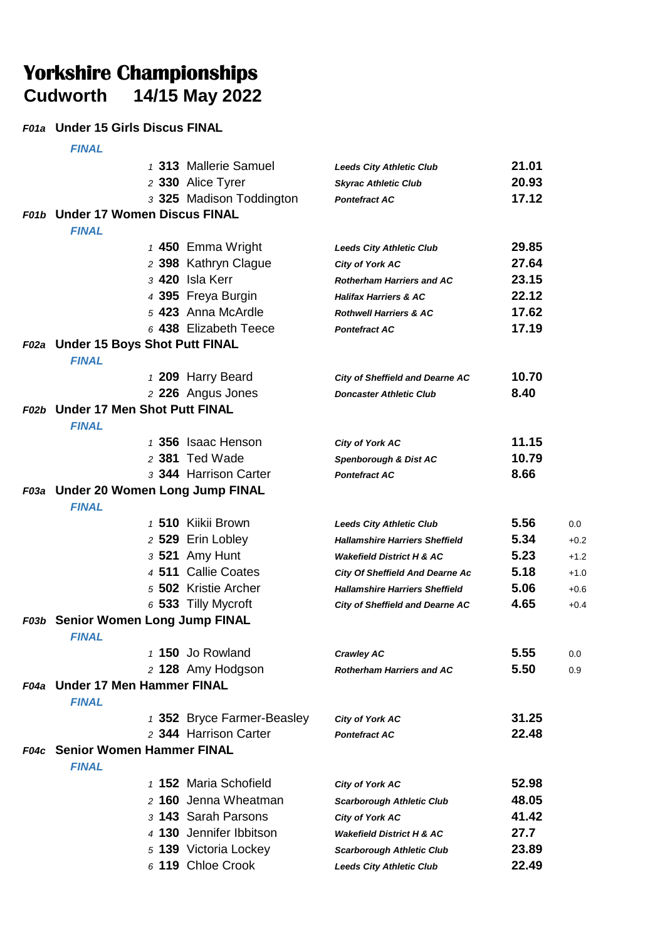# Yorkshire Championships<br>Cudworth 14/15 May 2022 **Cudworth 14/15 May 2022**

### *F01a* **Under 15 Girls Discus FINAL**

|      | <b>FINAL</b>                                        |                            |                                        |       |        |
|------|-----------------------------------------------------|----------------------------|----------------------------------------|-------|--------|
|      |                                                     | 1 313 Mallerie Samuel      | <b>Leeds City Athletic Club</b>        | 21.01 |        |
|      |                                                     | 2 330 Alice Tyrer          | <b>Skyrac Athletic Club</b>            | 20.93 |        |
|      |                                                     | 3 325 Madison Toddington   | <b>Pontefract AC</b>                   | 17.12 |        |
|      | F01b Under 17 Women Discus FINAL                    |                            |                                        |       |        |
|      | <b>FINAL</b>                                        |                            |                                        |       |        |
|      |                                                     | 1 450 Emma Wright          | <b>Leeds City Athletic Club</b>        | 29.85 |        |
|      |                                                     | 2 398 Kathryn Clague       | <b>City of York AC</b>                 | 27.64 |        |
|      |                                                     | 3 420 Isla Kerr            | <b>Rotherham Harriers and AC</b>       | 23.15 |        |
|      |                                                     | 4 395 Freya Burgin         | <b>Halifax Harriers &amp; AC</b>       | 22.12 |        |
|      |                                                     | 5 423 Anna McArdle         | <b>Rothwell Harriers &amp; AC</b>      | 17.62 |        |
|      |                                                     | 6 438 Elizabeth Teece      | <b>Pontefract AC</b>                   | 17.19 |        |
|      | F02a Under 15 Boys Shot Putt FINAL                  |                            |                                        |       |        |
|      | <b>FINAL</b>                                        |                            |                                        |       |        |
|      |                                                     | 1 209 Harry Beard          | <b>City of Sheffield and Dearne AC</b> | 10.70 |        |
|      |                                                     | 2 226 Angus Jones          | <b>Doncaster Athletic Club</b>         | 8.40  |        |
|      | F02b Under 17 Men Shot Putt FINAL                   |                            |                                        |       |        |
|      | <b>FINAL</b>                                        |                            |                                        |       |        |
|      |                                                     | 1 356 Isaac Henson         | City of York AC                        | 11.15 |        |
|      |                                                     | 2 381 Ted Wade             | Spenborough & Dist AC                  | 10.79 |        |
|      |                                                     | 3 344 Harrison Carter      | <b>Pontefract AC</b>                   | 8.66  |        |
|      | F03a Under 20 Women Long Jump FINAL<br><b>FINAL</b> |                            |                                        |       |        |
|      |                                                     | 1 510 Kiikii Brown         | <b>Leeds City Athletic Club</b>        | 5.56  | 0.0    |
|      |                                                     | 2 529 Erin Lobley          | <b>Hallamshire Harriers Sheffield</b>  | 5.34  | $+0.2$ |
|      |                                                     | 3 521 Amy Hunt             | <b>Wakefield District H &amp; AC</b>   | 5.23  | $+1.2$ |
|      |                                                     | 4 511 Callie Coates        | <b>City Of Sheffield And Dearne Ac</b> | 5.18  | $+1.0$ |
|      |                                                     | 5 502 Kristie Archer       | <b>Hallamshire Harriers Sheffield</b>  | 5.06  | $+0.6$ |
|      |                                                     | 6 533 Tilly Mycroft        | <b>City of Sheffield and Dearne AC</b> | 4.65  | $+0.4$ |
|      | F03b Senior Women Long Jump FINAL<br><b>FINAL</b>   |                            |                                        |       |        |
|      |                                                     | 1 150 Jo Rowland           | <b>Crawley AC</b>                      | 5.55  | 0.0    |
|      |                                                     | 2 128 Amy Hodgson          | <b>Rotherham Harriers and AC</b>       | 5.50  | 0.9    |
|      | F04a Under 17 Men Hammer FINAL<br><b>FINAL</b>      |                            |                                        |       |        |
|      |                                                     | 1 352 Bryce Farmer-Beasley | <b>City of York AC</b>                 | 31.25 |        |
|      |                                                     | 2 344 Harrison Carter      | <b>Pontefract AC</b>                   | 22.48 |        |
| F04c | <b>Senior Women Hammer FINAL</b><br><b>FINAL</b>    |                            |                                        |       |        |
|      |                                                     | 1 152 Maria Schofield      | <b>City of York AC</b>                 | 52.98 |        |
|      |                                                     | 2 160 Jenna Wheatman       | <b>Scarborough Athletic Club</b>       | 48.05 |        |
|      |                                                     | 3 143 Sarah Parsons        | City of York AC                        | 41.42 |        |
|      |                                                     | 4 130 Jennifer Ibbitson    | <b>Wakefield District H &amp; AC</b>   | 27.7  |        |
|      |                                                     | 5 139 Victoria Lockey      | <b>Scarborough Athletic Club</b>       | 23.89 |        |
|      |                                                     | 6 119 Chloe Crook          | <b>Leeds City Athletic Club</b>        | 22.49 |        |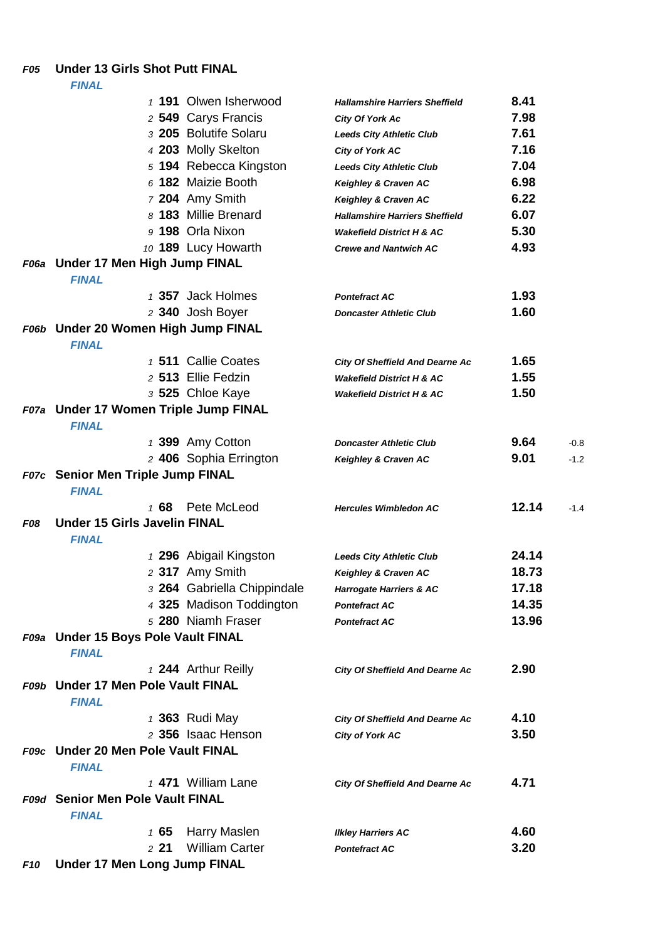### *F05* **Under 13 Girls Shot Putt FINAL**

|            |                                                    | 1 191 Olwen Isherwood                          | <b>Hallamshire Harriers Sheffield</b>  | 8.41           |        |
|------------|----------------------------------------------------|------------------------------------------------|----------------------------------------|----------------|--------|
|            |                                                    | 2 549 Carys Francis                            | City Of York Ac                        | 7.98           |        |
|            |                                                    | 3 205 Bolutife Solaru                          | <b>Leeds City Athletic Club</b>        | 7.61           |        |
|            |                                                    | 4 203 Molly Skelton                            | City of York AC                        | 7.16           |        |
|            |                                                    | 5 194 Rebecca Kingston                         | <b>Leeds City Athletic Club</b>        | 7.04           |        |
|            |                                                    | 6 182 Maizie Booth                             | Keighley & Craven AC                   | 6.98           |        |
|            |                                                    | 7 204 Amy Smith                                | Keighley & Craven AC                   | 6.22           |        |
|            |                                                    | 8 183 Millie Brenard                           | <b>Hallamshire Harriers Sheffield</b>  | 6.07           |        |
|            |                                                    | 9 198 Orla Nixon                               | <b>Wakefield District H &amp; AC</b>   | 5.30           |        |
|            |                                                    | 10 189 Lucy Howarth                            | <b>Crewe and Nantwich AC</b>           | 4.93           |        |
|            | F06a Under 17 Men High Jump FINAL                  |                                                |                                        |                |        |
|            | <b>FINAL</b>                                       |                                                |                                        |                |        |
|            |                                                    | 1 357 Jack Holmes                              | <b>Pontefract AC</b>                   | 1.93           |        |
|            |                                                    | 2 340 Josh Boyer                               | <b>Doncaster Athletic Club</b>         | 1.60           |        |
|            | F06b Under 20 Women High Jump FINAL                |                                                |                                        |                |        |
|            | <b>FINAL</b>                                       |                                                |                                        |                |        |
|            |                                                    | 1 511 Callie Coates                            | <b>City Of Sheffield And Dearne Ac</b> | 1.65           |        |
|            |                                                    | 2 513 Ellie Fedzin                             | <b>Wakefield District H &amp; AC</b>   | 1.55           |        |
|            |                                                    | 3 525 Chloe Kaye                               | <b>Wakefield District H &amp; AC</b>   | 1.50           |        |
|            | F07a Under 17 Women Triple Jump FINAL              |                                                |                                        |                |        |
|            | <b>FINAL</b>                                       |                                                |                                        |                |        |
|            |                                                    | 1 399 Amy Cotton                               | <b>Doncaster Athletic Club</b>         | 9.64           | $-0.8$ |
|            |                                                    | 2 406 Sophia Errington                         | Keighley & Craven AC                   | 9.01           | $-1.2$ |
|            | F07c Senior Men Triple Jump FINAL                  |                                                |                                        |                |        |
|            | <b>FINAL</b>                                       |                                                |                                        |                |        |
|            | 168                                                | Pete McLeod                                    | <b>Hercules Wimbledon AC</b>           | 12.14          | $-1.4$ |
| <b>F08</b> | <b>Under 15 Girls Javelin FINAL</b>                |                                                |                                        |                |        |
|            | <b>FINAL</b>                                       |                                                |                                        |                |        |
|            |                                                    | 1 296 Abigail Kingston                         | <b>Leeds City Athletic Club</b>        | 24.14          |        |
|            |                                                    | 2 317 Amy Smith                                | Keighley & Craven AC                   | 18.73          |        |
|            |                                                    | 3 264 Gabriella Chippindale                    | Harrogate Harriers & AC                | 17.18<br>14.35 |        |
|            |                                                    | 4 325 Madison Toddington<br>5 280 Niamh Fraser | <b>Pontefract AC</b>                   | 13.96          |        |
|            | F09a Under 15 Boys Pole Vault FINAL                |                                                | <b>Pontefract AC</b>                   |                |        |
|            | <b>FINAL</b>                                       |                                                |                                        |                |        |
|            |                                                    | 1 244 Arthur Reilly                            |                                        | 2.90           |        |
|            | F09b Under 17 Men Pole Vault FINAL                 |                                                | <b>City Of Sheffield And Dearne Ac</b> |                |        |
|            | <b>FINAL</b>                                       |                                                |                                        |                |        |
|            |                                                    | 1 363 Rudi May                                 | <b>City Of Sheffield And Dearne Ac</b> | 4.10           |        |
|            |                                                    | 2 356 Isaac Henson                             | City of York AC                        | 3.50           |        |
|            | F09c Under 20 Men Pole Vault FINAL<br><b>FINAL</b> |                                                |                                        |                |        |
|            |                                                    | 1 471 William Lane                             | <b>City Of Sheffield And Dearne Ac</b> | 4.71           |        |
|            | F09d Senior Men Pole Vault FINAL                   |                                                |                                        |                |        |
|            | <b>FINAL</b>                                       |                                                |                                        |                |        |
|            | 165                                                | Harry Maslen                                   | <b>Ilkley Harriers AC</b>              | 4.60           |        |
|            | 221                                                | <b>William Carter</b>                          | <b>Pontefract AC</b>                   | 3.20           |        |
| <b>F10</b> | <b>Under 17 Men Long Jump FINAL</b>                |                                                |                                        |                |        |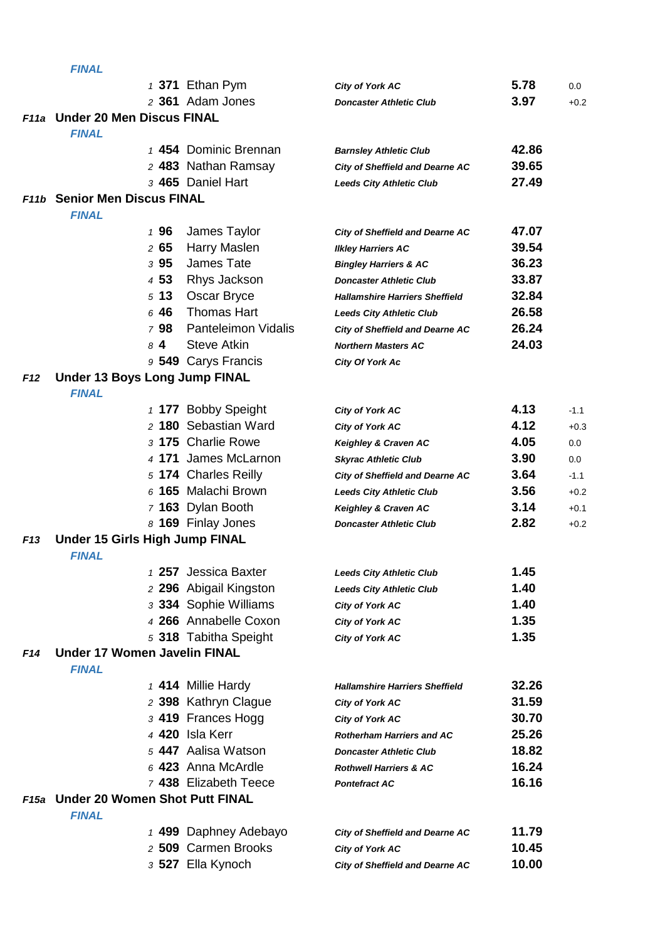|                 | <b>FINAL</b>                                          |                            |                                        |       |         |
|-----------------|-------------------------------------------------------|----------------------------|----------------------------------------|-------|---------|
|                 |                                                       | $1$ 371 Ethan Pym          | <b>City of York AC</b>                 | 5.78  | $0.0\,$ |
|                 |                                                       | 2 361 Adam Jones           | <b>Doncaster Athletic Club</b>         | 3.97  | $+0.2$  |
|                 | F11a Under 20 Men Discus FINAL                        |                            |                                        |       |         |
|                 | <b>FINAL</b>                                          |                            |                                        |       |         |
|                 |                                                       | 1 454 Dominic Brennan      | <b>Barnsley Athletic Club</b>          | 42.86 |         |
|                 |                                                       | 2 483 Nathan Ramsay        | <b>City of Sheffield and Dearne AC</b> | 39.65 |         |
|                 |                                                       | 3 465 Daniel Hart          | <b>Leeds City Athletic Club</b>        | 27.49 |         |
|                 | <b>F11b</b> Senior Men Discus FINAL                   |                            |                                        |       |         |
|                 | <b>FINAL</b>                                          |                            |                                        |       |         |
|                 | 196                                                   | James Taylor               | <b>City of Sheffield and Dearne AC</b> | 47.07 |         |
|                 | 265                                                   | Harry Maslen               | <b>Ilkley Harriers AC</b>              | 39.54 |         |
|                 | 395                                                   | James Tate                 | <b>Bingley Harriers &amp; AC</b>       | 36.23 |         |
|                 | 4 53                                                  | Rhys Jackson               | <b>Doncaster Athletic Club</b>         | 33.87 |         |
|                 | 513                                                   | Oscar Bryce                | <b>Hallamshire Harriers Sheffield</b>  | 32.84 |         |
|                 | 646                                                   | <b>Thomas Hart</b>         | <b>Leeds City Athletic Club</b>        | 26.58 |         |
|                 | 798                                                   | <b>Panteleimon Vidalis</b> | <b>City of Sheffield and Dearne AC</b> | 26.24 |         |
|                 | $8\,4$                                                | <b>Steve Atkin</b>         | <b>Northern Masters AC</b>             | 24.03 |         |
|                 |                                                       | 9 549 Carys Francis        | City Of York Ac                        |       |         |
| F12             | <b>Under 13 Boys Long Jump FINAL</b>                  |                            |                                        |       |         |
|                 | <b>FINAL</b>                                          |                            |                                        |       |         |
|                 |                                                       | 1 177 Bobby Speight        | <b>City of York AC</b>                 | 4.13  | $-1.1$  |
|                 |                                                       | 2 180 Sebastian Ward       | City of York AC                        | 4.12  | $+0.3$  |
|                 |                                                       | 3 175 Charlie Rowe         | Keighley & Craven AC                   | 4.05  | 0.0     |
|                 |                                                       | 4 171 James McLarnon       | <b>Skyrac Athletic Club</b>            | 3.90  | 0.0     |
|                 |                                                       | 5 174 Charles Reilly       | <b>City of Sheffield and Dearne AC</b> | 3.64  | $-1.1$  |
|                 |                                                       | 6 165 Malachi Brown        | <b>Leeds City Athletic Club</b>        | 3.56  | $+0.2$  |
|                 |                                                       | 7 163 Dylan Booth          | Keighley & Craven AC                   | 3.14  | $+0.1$  |
|                 |                                                       | 8 169 Finlay Jones         | <b>Doncaster Athletic Club</b>         | 2.82  | $+0.2$  |
| F <sub>13</sub> | Under 15 Girls High Jump FINAL                        |                            |                                        |       |         |
|                 | <b>FINAL</b>                                          |                            |                                        |       |         |
|                 |                                                       | 1 257 Jessica Baxter       | <b>Leeds City Athletic Club</b>        | 1.45  |         |
|                 |                                                       | 2 296 Abigail Kingston     | <b>Leeds City Athletic Club</b>        | 1.40  |         |
|                 |                                                       | 3 334 Sophie Williams      | City of York AC                        | 1.40  |         |
|                 |                                                       | 4 266 Annabelle Coxon      | City of York AC                        | 1.35  |         |
|                 |                                                       | 5 318 Tabitha Speight      | City of York AC                        | 1.35  |         |
| F14             | <b>Under 17 Women Javelin FINAL</b>                   |                            |                                        |       |         |
|                 | <b>FINAL</b>                                          |                            |                                        |       |         |
|                 |                                                       | 1 414 Millie Hardy         | <b>Hallamshire Harriers Sheffield</b>  | 32.26 |         |
|                 |                                                       | 2 398 Kathryn Clague       | City of York AC                        | 31.59 |         |
|                 |                                                       | 3 419 Frances Hogg         | <b>City of York AC</b>                 | 30.70 |         |
|                 |                                                       | 4 420 Isla Kerr            | <b>Rotherham Harriers and AC</b>       | 25.26 |         |
|                 |                                                       | 5 447 Aalisa Watson        | <b>Doncaster Athletic Club</b>         | 18.82 |         |
|                 |                                                       | 6 423 Anna McArdle         | <b>Rothwell Harriers &amp; AC</b>      | 16.24 |         |
|                 |                                                       | 7 438 Elizabeth Teece      | <b>Pontefract AC</b>                   | 16.16 |         |
| F15a            | <b>Under 20 Women Shot Putt FINAL</b><br><b>FINAL</b> |                            |                                        |       |         |
|                 |                                                       | 1 499 Daphney Adebayo      | <b>City of Sheffield and Dearne AC</b> | 11.79 |         |
|                 |                                                       | 2 509 Carmen Brooks        | <b>City of York AC</b>                 | 10.45 |         |
|                 |                                                       | 3 527 Ella Kynoch          | <b>City of Sheffield and Dearne AC</b> | 10.00 |         |
|                 |                                                       |                            |                                        |       |         |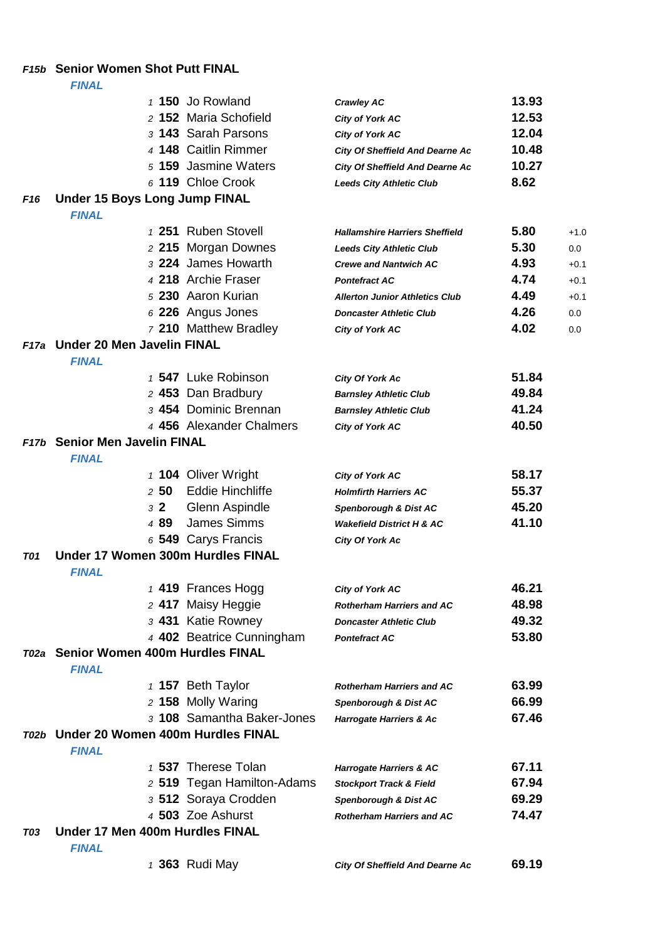### *F15b* **Senior Women Shot Putt FINAL**

|                 | <i>FINAL</i>                                      |                            |                                        |       |        |
|-----------------|---------------------------------------------------|----------------------------|----------------------------------------|-------|--------|
|                 |                                                   | 1 150 Jo Rowland           | <b>Crawley AC</b>                      | 13.93 |        |
|                 |                                                   | 2 152 Maria Schofield      | City of York AC                        | 12.53 |        |
|                 |                                                   | 3 143 Sarah Parsons        | City of York AC                        | 12.04 |        |
|                 |                                                   | 4 148 Caitlin Rimmer       | <b>City Of Sheffield And Dearne Ac</b> | 10.48 |        |
|                 |                                                   | 5 159 Jasmine Waters       | <b>City Of Sheffield And Dearne Ac</b> | 10.27 |        |
|                 |                                                   | 6 119 Chloe Crook          | <b>Leeds City Athletic Club</b>        | 8.62  |        |
| F <sub>16</sub> | <b>Under 15 Boys Long Jump FINAL</b>              |                            |                                        |       |        |
|                 | <b>FINAL</b>                                      |                            |                                        |       |        |
|                 |                                                   | 1 251 Ruben Stovell        | <b>Hallamshire Harriers Sheffield</b>  | 5.80  | $+1.0$ |
|                 |                                                   | 2 215 Morgan Downes        | <b>Leeds City Athletic Club</b>        | 5.30  | 0.0    |
|                 |                                                   | 3 224 James Howarth        | <b>Crewe and Nantwich AC</b>           | 4.93  | $+0.1$ |
|                 |                                                   | 4 218 Archie Fraser        | <b>Pontefract AC</b>                   | 4.74  | $+0.1$ |
|                 |                                                   | 5 230 Aaron Kurian         | <b>Allerton Junior Athletics Club</b>  | 4.49  | $+0.1$ |
|                 |                                                   | 6 226 Angus Jones          | <b>Doncaster Athletic Club</b>         | 4.26  | 0.0    |
|                 |                                                   | 7 210 Matthew Bradley      | City of York AC                        | 4.02  | 0.0    |
|                 | F17a Under 20 Men Javelin FINAL                   |                            |                                        |       |        |
|                 | <b>FINAL</b>                                      |                            |                                        |       |        |
|                 |                                                   | 1 547 Luke Robinson        | <b>City Of York Ac</b>                 | 51.84 |        |
|                 |                                                   | 2 453 Dan Bradbury         | <b>Barnsley Athletic Club</b>          | 49.84 |        |
|                 |                                                   | 3 454 Dominic Brennan      | <b>Barnsley Athletic Club</b>          | 41.24 |        |
|                 |                                                   | 4 456 Alexander Chalmers   | City of York AC                        | 40.50 |        |
|                 | F17b Senior Men Javelin FINAL                     |                            |                                        |       |        |
|                 | <b>FINAL</b>                                      |                            |                                        |       |        |
|                 |                                                   | 1 104 Oliver Wright        | City of York AC                        | 58.17 |        |
|                 | $2\,$ 50 $\,$                                     | <b>Eddie Hinchliffe</b>    | <b>Holmfirth Harriers AC</b>           | 55.37 |        |
|                 | $3\,2$                                            | Glenn Aspindle             | Spenborough & Dist AC                  | 45.20 |        |
|                 | 489                                               | <b>James Simms</b>         | <b>Wakefield District H &amp; AC</b>   | 41.10 |        |
|                 |                                                   | 6 549 Carys Francis        | City Of York Ac                        |       |        |
| <b>T01</b>      | Under 17 Women 300m Hurdles FINAL<br><b>FINAL</b> |                            |                                        |       |        |
|                 |                                                   | 1 419 Frances Hogg         | <b>City of York AC</b>                 | 46.21 |        |
|                 |                                                   | 2 417 Maisy Heggie         | <b>Rotherham Harriers and AC</b>       | 48.98 |        |
|                 |                                                   | 3 431 Katie Rowney         | <b>Doncaster Athletic Club</b>         | 49.32 |        |
|                 |                                                   | 4 402 Beatrice Cunningham  | <b>Pontefract AC</b>                   | 53.80 |        |
|                 | T02a Senior Women 400m Hurdles FINAL              |                            |                                        |       |        |
|                 | <b>FINAL</b>                                      |                            |                                        |       |        |
|                 |                                                   | 1 157 Beth Taylor          | <b>Rotherham Harriers and AC</b>       | 63.99 |        |
|                 |                                                   | 2 158 Molly Waring         | Spenborough & Dist AC                  | 66.99 |        |
|                 |                                                   | 3 108 Samantha Baker-Jones | Harrogate Harriers & Ac                | 67.46 |        |
|                 | T02b Under 20 Women 400m Hurdles FINAL            |                            |                                        |       |        |
|                 | <b>FINAL</b>                                      |                            |                                        |       |        |
|                 |                                                   | 1 537 Therese Tolan        | <b>Harrogate Harriers &amp; AC</b>     | 67.11 |        |
|                 |                                                   | 2 519 Tegan Hamilton-Adams | <b>Stockport Track &amp; Field</b>     | 67.94 |        |
|                 |                                                   | 3 512 Soraya Crodden       | Spenborough & Dist AC                  | 69.29 |        |
|                 |                                                   | 4 503 Zoe Ashurst          | <b>Rotherham Harriers and AC</b>       | 74.47 |        |
| T03             | Under 17 Men 400m Hurdles FINAL                   |                            |                                        |       |        |
|                 | <b>FINAL</b>                                      |                            |                                        |       |        |
|                 |                                                   | 1 363 Rudi May             | <b>City Of Sheffield And Dearne Ac</b> | 69.19 |        |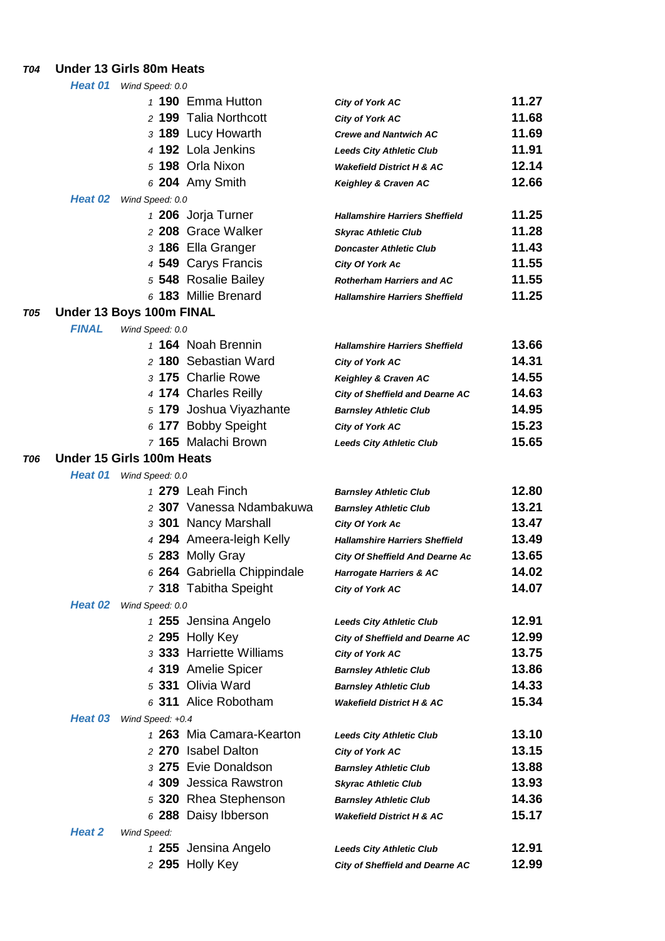### *T04* **Under 13 Girls 80m Heats**

|     | Heat 01      | Wind Speed: 0.0           |                             |                                        |       |
|-----|--------------|---------------------------|-----------------------------|----------------------------------------|-------|
|     |              |                           | 1 190 Emma Hutton           | <b>City of York AC</b>                 | 11.27 |
|     |              |                           | 2 199 Talia Northcott       | <b>City of York AC</b>                 | 11.68 |
|     |              |                           | 3 189 Lucy Howarth          | <b>Crewe and Nantwich AC</b>           | 11.69 |
|     |              |                           | 4 192 Lola Jenkins          | <b>Leeds City Athletic Club</b>        | 11.91 |
|     |              |                           | 5 198 Orla Nixon            | <b>Wakefield District H &amp; AC</b>   | 12.14 |
|     |              |                           | $6204$ Amy Smith            | Keighley & Craven AC                   | 12.66 |
|     | Heat 02      | Wind Speed: 0.0           |                             |                                        |       |
|     |              |                           | 1 206 Jorja Turner          | <b>Hallamshire Harriers Sheffield</b>  | 11.25 |
|     |              |                           | 2 208 Grace Walker          | <b>Skyrac Athletic Club</b>            | 11.28 |
|     |              |                           | 3 186 Ella Granger          | <b>Doncaster Athletic Club</b>         | 11.43 |
|     |              |                           | 4 549 Carys Francis         | <b>City Of York Ac</b>                 | 11.55 |
|     |              |                           | 5 548 Rosalie Bailey        | <b>Rotherham Harriers and AC</b>       | 11.55 |
|     |              |                           | 6 183 Millie Brenard        | <b>Hallamshire Harriers Sheffield</b>  | 11.25 |
| T05 |              | Under 13 Boys 100m FINAL  |                             |                                        |       |
|     | <b>FINAL</b> | Wind Speed: 0.0           |                             |                                        |       |
|     |              |                           | 1 164 Noah Brennin          | <b>Hallamshire Harriers Sheffield</b>  | 13.66 |
|     |              |                           | 2 180 Sebastian Ward        | <b>City of York AC</b>                 | 14.31 |
|     |              |                           | 3 175 Charlie Rowe          | Keighley & Craven AC                   | 14.55 |
|     |              |                           | 4 174 Charles Reilly        | <b>City of Sheffield and Dearne AC</b> | 14.63 |
|     |              |                           | 5 179 Joshua Viyazhante     | <b>Barnsley Athletic Club</b>          | 14.95 |
|     |              |                           | 6 177 Bobby Speight         | <b>City of York AC</b>                 | 15.23 |
|     |              |                           | 7 165 Malachi Brown         | <b>Leeds City Athletic Club</b>        | 15.65 |
| T06 |              | Under 15 Girls 100m Heats |                             |                                        |       |
|     | Heat 01      | Wind Speed: 0.0           |                             |                                        |       |
|     |              |                           | 1 279 Leah Finch            | <b>Barnsley Athletic Club</b>          | 12.80 |
|     |              |                           | 2 307 Vanessa Ndambakuwa    | <b>Barnsley Athletic Club</b>          | 13.21 |
|     |              |                           | 3 301 Nancy Marshall        | <b>City Of York Ac</b>                 | 13.47 |
|     |              |                           | 4 294 Ameera-leigh Kelly    | <b>Hallamshire Harriers Sheffield</b>  | 13.49 |
|     |              |                           | 5 283 Molly Gray            | <b>City Of Sheffield And Dearne Ac</b> | 13.65 |
|     |              |                           | 6 264 Gabriella Chippindale | <b>Harrogate Harriers &amp; AC</b>     | 14.02 |
|     |              |                           | 7 318 Tabitha Speight       | <b>City of York AC</b>                 | 14.07 |
|     | Heat 02      | Wind Speed: 0.0           |                             |                                        |       |
|     |              |                           | 1 255 Jensina Angelo        | <b>Leeds City Athletic Club</b>        | 12.91 |
|     |              |                           | 2 295 Holly Key             | <b>City of Sheffield and Dearne AC</b> | 12.99 |
|     |              |                           | 3 333 Harriette Williams    | <b>City of York AC</b>                 | 13.75 |
|     |              |                           | 4 319 Amelie Spicer         | <b>Barnsley Athletic Club</b>          | 13.86 |
|     |              |                           | 5 331 Olivia Ward           | <b>Barnsley Athletic Club</b>          | 14.33 |
|     |              |                           | 6 311 Alice Robotham        | <b>Wakefield District H &amp; AC</b>   | 15.34 |
|     |              | Heat 03 Wind Speed: +0.4  |                             |                                        |       |
|     |              |                           | 1 263 Mia Camara-Kearton    | <b>Leeds City Athletic Club</b>        | 13.10 |
|     |              |                           | 2 270 Isabel Dalton         | <b>City of York AC</b>                 | 13.15 |
|     |              |                           | 3 275 Evie Donaldson        | <b>Barnsley Athletic Club</b>          | 13.88 |
|     |              |                           | 4 309 Jessica Rawstron      | <b>Skyrac Athletic Club</b>            | 13.93 |
|     |              |                           | 5 320 Rhea Stephenson       | <b>Barnsley Athletic Club</b>          | 14.36 |
|     |              |                           | 6 288 Daisy Ibberson        | <b>Wakefield District H &amp; AC</b>   | 15.17 |
|     | Heat 2       | Wind Speed:               |                             |                                        |       |
|     |              |                           | 1 255 Jensina Angelo        | <b>Leeds City Athletic Club</b>        | 12.91 |
|     |              |                           | 2 295 Holly Key             | <b>City of Sheffield and Dearne AC</b> | 12.99 |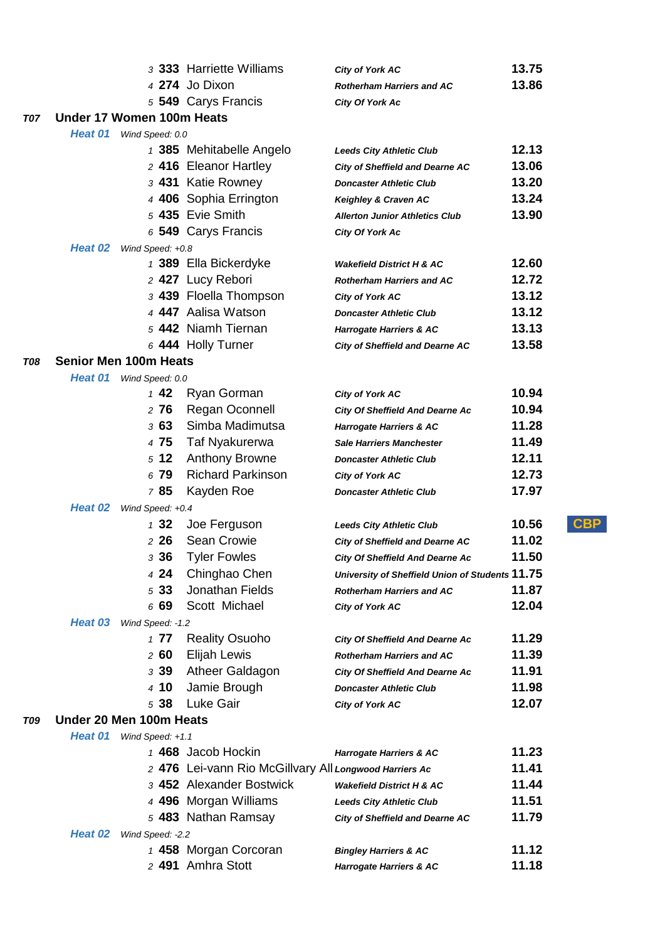|            |                              |                  | 3 333 Harriette Williams                               | <b>City of York AC</b>                          | 13.75                    |
|------------|------------------------------|------------------|--------------------------------------------------------|-------------------------------------------------|--------------------------|
|            |                              |                  | 4 274 Jo Dixon                                         | <b>Rotherham Harriers and AC</b>                | 13.86                    |
|            |                              |                  | 5 549 Carys Francis                                    | <b>City Of York Ac</b>                          |                          |
| <b>T07</b> | Under 17 Women 100m Heats    |                  |                                                        |                                                 |                          |
|            | Heat 01                      | Wind Speed: 0.0  |                                                        |                                                 |                          |
|            |                              |                  | 1 385 Mehitabelle Angelo                               | <b>Leeds City Athletic Club</b>                 | 12.13                    |
|            |                              |                  | 2 416 Eleanor Hartley                                  | <b>City of Sheffield and Dearne AC</b>          | 13.06                    |
|            |                              |                  | 3 431 Katie Rowney                                     | <b>Doncaster Athletic Club</b>                  | 13.20                    |
|            |                              |                  | 4 406 Sophia Errington                                 | Keighley & Craven AC                            | 13.24                    |
|            |                              |                  | 5 435 Evie Smith                                       | <b>Allerton Junior Athletics Club</b>           | 13.90                    |
|            |                              |                  | 6 549 Carys Francis                                    | <b>City Of York Ac</b>                          |                          |
|            | Heat 02                      | Wind Speed: +0.8 |                                                        |                                                 |                          |
|            |                              |                  | 1 389 Ella Bickerdyke                                  | <b>Wakefield District H &amp; AC</b>            | 12.60                    |
|            |                              |                  | 2 427 Lucy Rebori                                      | <b>Rotherham Harriers and AC</b>                | 12.72                    |
|            |                              |                  | 3 439 Floella Thompson                                 | <b>City of York AC</b>                          | 13.12                    |
|            |                              |                  | 4 447 Aalisa Watson                                    | <b>Doncaster Athletic Club</b>                  | 13.12                    |
|            |                              |                  | 5 442 Niamh Tiernan                                    | <b>Harrogate Harriers &amp; AC</b>              | 13.13                    |
|            |                              |                  | 6 444 Holly Turner                                     | <b>City of Sheffield and Dearne AC</b>          | 13.58                    |
| <b>T08</b> | <b>Senior Men 100m Heats</b> |                  |                                                        |                                                 |                          |
|            | Heat 01                      | Wind Speed: 0.0  |                                                        |                                                 |                          |
|            |                              | 142              | Ryan Gorman                                            | City of York AC                                 | 10.94                    |
|            |                              | 276              | Regan Oconnell                                         | <b>City Of Sheffield And Dearne Ac</b>          | 10.94                    |
|            |                              | 363              | Simba Madimutsa                                        | <b>Harrogate Harriers &amp; AC</b>              | 11.28                    |
|            |                              | 4 75             | Taf Nyakurerwa                                         | <b>Sale Harriers Manchester</b>                 | 11.49                    |
|            |                              | 512              | <b>Anthony Browne</b>                                  | <b>Doncaster Athletic Club</b>                  | 12.11                    |
|            |                              | 6 79             | <b>Richard Parkinson</b>                               | City of York AC                                 | 12.73                    |
|            |                              | 785              | Kayden Roe                                             | <b>Doncaster Athletic Club</b>                  | 17.97                    |
|            | Heat 02                      | Wind Speed: +0.4 |                                                        |                                                 |                          |
|            |                              | 132              | Joe Ferguson                                           | <b>Leeds City Athletic Club</b>                 | $_{\text{CBP}}$<br>10.56 |
|            |                              | $2\,26$          | Sean Crowie                                            | <b>City of Sheffield and Dearne AC</b>          | 11.02                    |
|            |                              | з 36             | <b>Tyler Fowles</b>                                    | <b>City Of Sheffield And Dearne Ac</b>          | 11.50                    |
|            |                              | 4 24             | Chinghao Chen                                          | University of Sheffield Union of Students 11.75 |                          |
|            |                              | 533              | Jonathan Fields                                        | <b>Rotherham Harriers and AC</b>                | 11.87                    |
|            |                              | 6 69             | Scott Michael                                          | City of York AC                                 | 12.04                    |
|            | Heat 03                      | Wind Speed: -1.2 |                                                        |                                                 |                          |
|            |                              | 177              | <b>Reality Osuoho</b>                                  | <b>City Of Sheffield And Dearne Ac</b>          | 11.29                    |
|            |                              | 260              | Elijah Lewis                                           | <b>Rotherham Harriers and AC</b>                | 11.39                    |
|            |                              | 3 39             | Atheer Galdagon                                        | <b>City Of Sheffield And Dearne Ac</b>          | 11.91                    |
|            |                              | 4 10             | Jamie Brough                                           | <b>Doncaster Athletic Club</b>                  | 11.98                    |
|            |                              | 5 38             | Luke Gair                                              | <b>City of York AC</b>                          | 12.07                    |
| T09        | Under 20 Men 100m Heats      |                  |                                                        |                                                 |                          |
|            | Heat 01                      | Wind Speed: +1.1 |                                                        |                                                 |                          |
|            |                              |                  | 1 468 Jacob Hockin                                     | <b>Harrogate Harriers &amp; AC</b>              | 11.23                    |
|            |                              |                  | 2 476 Lei-vann Rio McGillvary All Longwood Harriers Ac |                                                 | 11.41                    |
|            |                              |                  | 3 452 Alexander Bostwick                               | <b>Wakefield District H &amp; AC</b>            | 11.44                    |
|            |                              |                  | 4 496 Morgan Williams                                  | <b>Leeds City Athletic Club</b>                 | 11.51                    |
|            |                              |                  | 5 483 Nathan Ramsay                                    | <b>City of Sheffield and Dearne AC</b>          | 11.79                    |
|            | Heat 02                      | Wind Speed: -2.2 |                                                        |                                                 |                          |
|            |                              |                  | 1 458 Morgan Corcoran                                  | <b>Bingley Harriers &amp; AC</b>                | 11.12                    |
|            |                              |                  | 2 491 Amhra Stott                                      | <b>Harrogate Harriers &amp; AC</b>              | 11.18                    |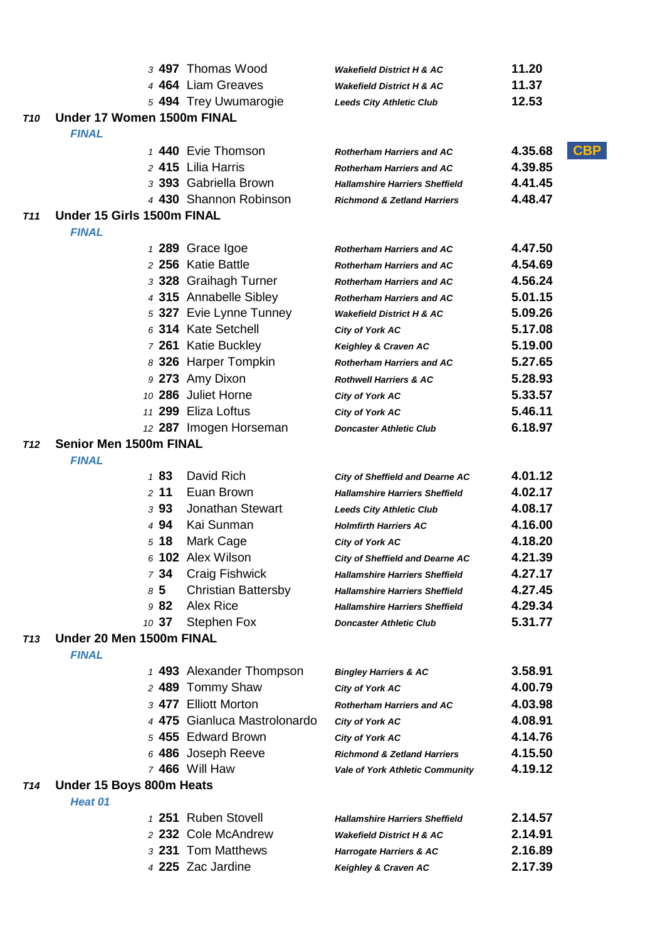|                 |                               | 3 497 Thomas Wood            | <b>Wakefield District H &amp; AC</b>                                            | 11.20                 |
|-----------------|-------------------------------|------------------------------|---------------------------------------------------------------------------------|-----------------------|
|                 |                               | 4 464 Liam Greaves           | <b>Wakefield District H &amp; AC</b>                                            | 11.37                 |
|                 |                               | 5 494 Trey Uwumarogie        | <b>Leeds City Athletic Club</b>                                                 | 12.53                 |
| T10             | Under 17 Women 1500m FINAL    |                              |                                                                                 |                       |
|                 | <b>FINAL</b>                  |                              |                                                                                 |                       |
|                 |                               | 1 440 Evie Thomson           | <b>Rotherham Harriers and AC</b>                                                | <b>CBP</b><br>4.35.68 |
|                 |                               | 2 415 Lilia Harris           | <b>Rotherham Harriers and AC</b>                                                | 4.39.85               |
|                 |                               | 3 393 Gabriella Brown        | <b>Hallamshire Harriers Sheffield</b>                                           | 4.41.45               |
|                 |                               | 4 430 Shannon Robinson       | <b>Richmond &amp; Zetland Harriers</b>                                          | 4.48.47               |
| T11             | Under 15 Girls 1500m FINAL    |                              |                                                                                 |                       |
|                 | <b>FINAL</b>                  |                              |                                                                                 |                       |
|                 |                               | 1 289 Grace Igoe             | <b>Rotherham Harriers and AC</b>                                                | 4.47.50               |
|                 |                               | 2 256 Katie Battle           | <b>Rotherham Harriers and AC</b>                                                | 4.54.69               |
|                 |                               | 3 328 Graihagh Turner        | <b>Rotherham Harriers and AC</b>                                                | 4.56.24               |
|                 |                               | 4 315 Annabelle Sibley       | <b>Rotherham Harriers and AC</b>                                                | 5.01.15               |
|                 |                               | 5 327 Evie Lynne Tunney      | <b>Wakefield District H &amp; AC</b>                                            | 5.09.26               |
|                 |                               | 6 314 Kate Setchell          | <b>City of York AC</b>                                                          | 5.17.08               |
|                 |                               | 7 261 Katie Buckley          | Keighley & Craven AC                                                            | 5.19.00               |
|                 |                               | 8 326 Harper Tompkin         | <b>Rotherham Harriers and AC</b>                                                | 5.27.65               |
|                 |                               | 9 273 Amy Dixon              | <b>Rothwell Harriers &amp; AC</b>                                               | 5.28.93               |
|                 |                               | 10 286 Juliet Horne          | <b>City of York AC</b>                                                          | 5.33.57               |
|                 |                               | 11 299 Eliza Loftus          | City of York AC                                                                 | 5.46.11               |
|                 | <b>Senior Men 1500m FINAL</b> | 12 287 Imogen Horseman       | <b>Doncaster Athletic Club</b>                                                  | 6.18.97               |
| T12             | <b>FINAL</b>                  |                              |                                                                                 |                       |
|                 | 183                           | David Rich                   |                                                                                 | 4.01.12               |
|                 | 2, 11                         | Euan Brown                   | <b>City of Sheffield and Dearne AC</b><br><b>Hallamshire Harriers Sheffield</b> | 4.02.17               |
|                 | 393                           | <b>Jonathan Stewart</b>      | <b>Leeds City Athletic Club</b>                                                 | 4.08.17               |
|                 | 4 94                          | Kai Sunman                   | <b>Holmfirth Harriers AC</b>                                                    | 4.16.00               |
|                 | 518                           | Mark Cage                    | City of York AC                                                                 | 4.18.20               |
|                 |                               | $6$ 102 Alex Wilson          | <b>City of Sheffield and Dearne AC</b>                                          | 4.21.39               |
|                 | 734                           | Craig Fishwick               | <b>Hallamshire Harriers Sheffield</b>                                           | 4.27.17               |
|                 | 85                            | <b>Christian Battersby</b>   | <b>Hallamshire Harriers Sheffield</b>                                           | 4.27.45               |
|                 | 982                           | Alex Rice                    | <b>Hallamshire Harriers Sheffield</b>                                           | 4.29.34               |
|                 | 10 37                         | <b>Stephen Fox</b>           | <b>Doncaster Athletic Club</b>                                                  | 5.31.77               |
| T <sub>13</sub> | Under 20 Men 1500m FINAL      |                              |                                                                                 |                       |
|                 | <b>FINAL</b>                  |                              |                                                                                 |                       |
|                 |                               | 1 493 Alexander Thompson     | <b>Bingley Harriers &amp; AC</b>                                                | 3.58.91               |
|                 |                               | 2 489 Tommy Shaw             | <b>City of York AC</b>                                                          | 4.00.79               |
|                 |                               | 3 477 Elliott Morton         | <b>Rotherham Harriers and AC</b>                                                | 4.03.98               |
|                 |                               | 4 475 Gianluca Mastrolonardo | <b>City of York AC</b>                                                          | 4.08.91               |
|                 |                               | 5 455 Edward Brown           | <b>City of York AC</b>                                                          | 4.14.76               |
|                 |                               | 6 486 Joseph Reeve           | <b>Richmond &amp; Zetland Harriers</b>                                          | 4.15.50               |
|                 |                               | 7 466 Will Haw               | <b>Vale of York Athletic Community</b>                                          | 4.19.12               |
| T14             | Under 15 Boys 800m Heats      |                              |                                                                                 |                       |
|                 | Heat 01                       |                              |                                                                                 |                       |
|                 |                               | 1 251 Ruben Stovell          | <b>Hallamshire Harriers Sheffield</b>                                           | 2.14.57               |
|                 |                               | 2 232 Cole McAndrew          | <b>Wakefield District H &amp; AC</b>                                            | 2.14.91               |
|                 |                               | 3 231 Tom Matthews           | <b>Harrogate Harriers &amp; AC</b>                                              | 2.16.89               |
|                 |                               | 4 225 Zac Jardine            | Keighley & Craven AC                                                            | 2.17.39               |
|                 |                               |                              |                                                                                 |                       |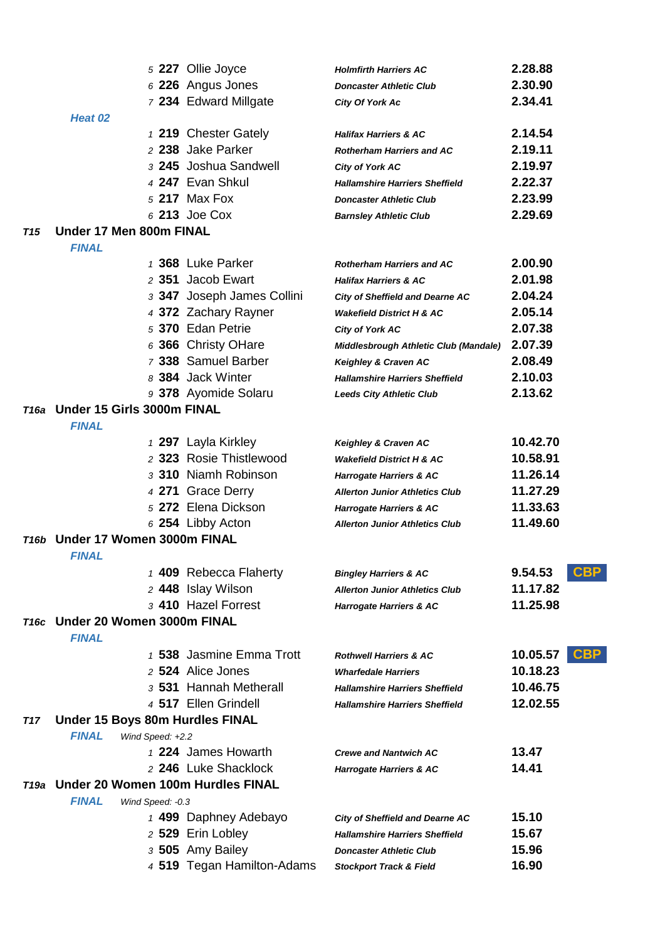|            |                                                 | 5 227 Ollie Joyce          | <b>Holmfirth Harriers AC</b>           | 2.28.88                |  |
|------------|-------------------------------------------------|----------------------------|----------------------------------------|------------------------|--|
|            |                                                 | 6 226 Angus Jones          | <b>Doncaster Athletic Club</b>         | 2.30.90                |  |
|            |                                                 | 7 234 Edward Millgate      | City Of York Ac                        | 2.34.41                |  |
|            | Heat 02                                         |                            |                                        |                        |  |
|            |                                                 | 1 219 Chester Gately       | <b>Halifax Harriers &amp; AC</b>       | 2.14.54                |  |
|            |                                                 | 2 238 Jake Parker          | <b>Rotherham Harriers and AC</b>       | 2.19.11                |  |
|            |                                                 | 3 245 Joshua Sandwell      | <b>City of York AC</b>                 | 2.19.97                |  |
|            |                                                 | 4 247 Evan Shkul           | <b>Hallamshire Harriers Sheffield</b>  | 2.22.37                |  |
|            |                                                 | 5 217 Max Fox              | <b>Doncaster Athletic Club</b>         | 2.23.99                |  |
|            |                                                 | 6 213 Joe Cox              | <b>Barnsley Athletic Club</b>          | 2.29.69                |  |
| <b>T15</b> | Under 17 Men 800m FINAL                         |                            |                                        |                        |  |
|            | <b>FINAL</b>                                    |                            |                                        |                        |  |
|            |                                                 | 1 368 Luke Parker          | <b>Rotherham Harriers and AC</b>       | 2.00.90                |  |
|            |                                                 | 2 351 Jacob Ewart          | <b>Halifax Harriers &amp; AC</b>       | 2.01.98                |  |
|            |                                                 | 3 347 Joseph James Collini | City of Sheffield and Dearne AC        | 2.04.24                |  |
|            |                                                 | 4 372 Zachary Rayner       | <b>Wakefield District H &amp; AC</b>   | 2.05.14                |  |
|            |                                                 | 5 370 Edan Petrie          | City of York AC                        | 2.07.38                |  |
|            |                                                 | 6 366 Christy OHare        | Middlesbrough Athletic Club (Mandale)  | 2.07.39                |  |
|            |                                                 | 7 338 Samuel Barber        | Keighley & Craven AC                   | 2.08.49                |  |
|            |                                                 | 8 384 Jack Winter          | <b>Hallamshire Harriers Sheffield</b>  | 2.10.03                |  |
|            |                                                 | 9 378 Ayomide Solaru       | <b>Leeds City Athletic Club</b>        | 2.13.62                |  |
|            | T16a Under 15 Girls 3000m FINAL<br><b>FINAL</b> |                            |                                        |                        |  |
|            |                                                 | 1 297 Layla Kirkley        | Keighley & Craven AC                   | 10.42.70               |  |
|            |                                                 | 2 323 Rosie Thistlewood    | <b>Wakefield District H &amp; AC</b>   | 10.58.91               |  |
|            |                                                 | 3 310 Niamh Robinson       | Harrogate Harriers & AC                | 11.26.14               |  |
|            |                                                 | 4 271 Grace Derry          | <b>Allerton Junior Athletics Club</b>  | 11.27.29               |  |
|            |                                                 | 5 272 Elena Dickson        | <b>Harrogate Harriers &amp; AC</b>     | 11.33.63               |  |
|            |                                                 | $6254$ Libby Acton         | <b>Allerton Junior Athletics Club</b>  | 11.49.60               |  |
| T16b       | Under 17 Women 3000m FINAL                      |                            |                                        |                        |  |
|            | <i><b>FINAL</b></i>                             |                            |                                        |                        |  |
|            |                                                 | 1 409 Rebecca Flaherty     | <b>Bingley Harriers &amp; AC</b>       | <b>CBP</b><br>9.54.53  |  |
|            |                                                 | 2 448 Islay Wilson         | <b>Allerton Junior Athletics Club</b>  | 11.17.82               |  |
|            |                                                 | 3 410 Hazel Forrest        | Harrogate Harriers & AC                | 11.25.98               |  |
|            | T16c Under 20 Women 3000m FINAL<br><b>FINAL</b> |                            |                                        |                        |  |
|            |                                                 | 1 538 Jasmine Emma Trott   | <b>Rothwell Harriers &amp; AC</b>      | <b>CBP</b><br>10.05.57 |  |
|            |                                                 | 2 524 Alice Jones          | <b>Wharfedale Harriers</b>             | 10.18.23               |  |
|            |                                                 | 3 531 Hannah Metherall     | <b>Hallamshire Harriers Sheffield</b>  | 10.46.75               |  |
|            |                                                 | 4 517 Ellen Grindell       | <b>Hallamshire Harriers Sheffield</b>  | 12.02.55               |  |
| <b>T17</b> | Under 15 Boys 80m Hurdles FINAL                 |                            |                                        |                        |  |
|            | <b>FINAL</b><br>Wind Speed: +2.2                |                            |                                        |                        |  |
|            |                                                 | 1 224 James Howarth        | <b>Crewe and Nantwich AC</b>           | 13.47                  |  |
|            |                                                 | 2 246 Luke Shacklock       | Harrogate Harriers & AC                | 14.41                  |  |
| T19a       | Under 20 Women 100m Hurdles FINAL               |                            |                                        |                        |  |
|            | <b>FINAL</b><br>Wind Speed: - 0.3               |                            |                                        |                        |  |
|            |                                                 | 1 499 Daphney Adebayo      | <b>City of Sheffield and Dearne AC</b> | 15.10                  |  |
|            |                                                 | 2 529 Erin Lobley          | <b>Hallamshire Harriers Sheffield</b>  | 15.67                  |  |
|            |                                                 | 3 505 Amy Bailey           | <b>Doncaster Athletic Club</b>         | 15.96                  |  |
|            |                                                 | 4 519 Tegan Hamilton-Adams | <b>Stockport Track &amp; Field</b>     | 16.90                  |  |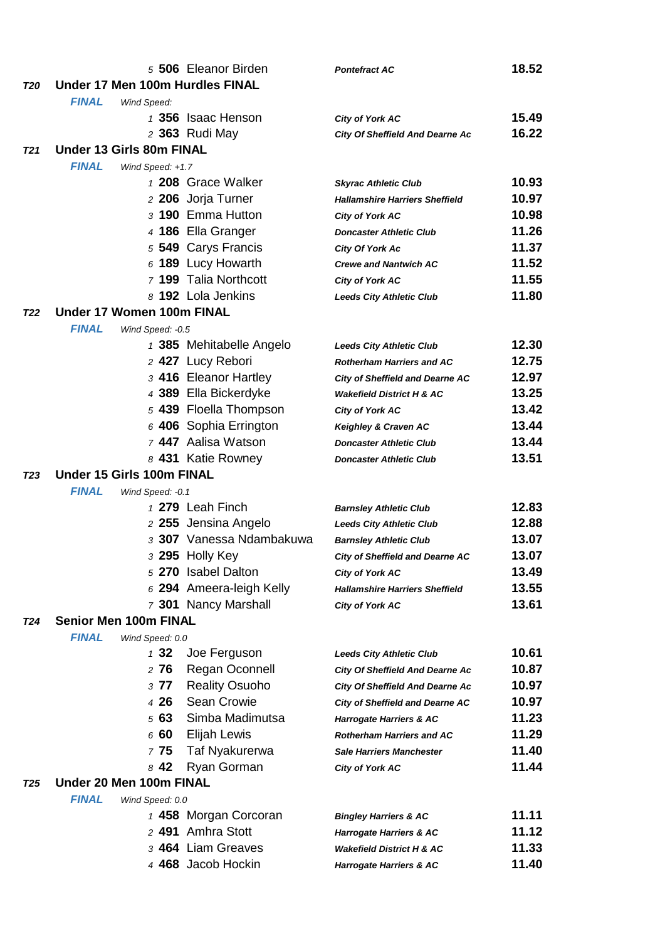| Under 17 Men 100m Hurdles FINAL<br>T20<br><b>FINAL</b><br>Wind Speed:<br>1 356 Isaac Henson<br>15.49<br><b>City of York AC</b><br>16.22<br>2 363 Rudi May<br><b>City Of Sheffield And Dearne Ac</b><br><b>Under 13 Girls 80m FINAL</b><br>T <sub>21</sub><br><b>FINAL</b><br>Wind Speed: +1.7<br>1 208 Grace Walker<br>10.93<br><b>Skyrac Athletic Club</b><br>10.97<br>2 206 Jorja Turner<br><b>Hallamshire Harriers Sheffield</b><br>3 190 Emma Hutton<br>10.98<br><b>City of York AC</b><br>4 186 Ella Granger<br>11.26<br><b>Doncaster Athletic Club</b><br>5 549 Carys Francis<br>11.37<br><b>City Of York Ac</b><br>$6$ 189 Lucy Howarth<br>11.52<br><b>Crewe and Nantwich AC</b><br>7 199 Talia Northcott<br>11.55<br><b>City of York AC</b><br>8 192 Lola Jenkins<br>11.80<br><b>Leeds City Athletic Club</b><br>Under 17 Women 100m FINAL<br><b>T22</b><br><b>FINAL</b><br>Wind Speed: -0.5<br>12.30<br>1 385 Mehitabelle Angelo<br><b>Leeds City Athletic Club</b><br>12.75<br>2 427 Lucy Rebori<br><b>Rotherham Harriers and AC</b><br>3 416 Eleanor Hartley<br>12.97<br>City of Sheffield and Dearne AC<br>4 389 Ella Bickerdyke<br>13.25<br><b>Wakefield District H &amp; AC</b><br>5 439 Floella Thompson<br>13.42<br><b>City of York AC</b><br>13.44<br>$6$ 406 Sophia Errington<br>Keighley & Craven AC<br>7 447 Aalisa Watson<br>13.44<br><b>Doncaster Athletic Club</b><br>13.51<br>8 431 Katie Rowney<br><b>Doncaster Athletic Club</b><br>Under 15 Girls 100m FINAL<br><b>T23</b><br><b>FINAL</b><br>Wind Speed: -0.1<br>1 279 Leah Finch<br>12.83<br><b>Barnsley Athletic Club</b><br>12.88<br>2 255 Jensina Angelo<br><b>Leeds City Athletic Club</b><br>3 307 Vanessa Ndambakuwa<br>13.07<br><b>Barnsley Athletic Club</b><br>3 295 Holly Key<br>13.07<br><b>City of Sheffield and Dearne AC</b><br>5 270 Isabel Dalton<br>13.49<br><b>City of York AC</b><br>6 294 Ameera-leigh Kelly<br>13.55<br><b>Hallamshire Harriers Sheffield</b><br>7 301 Nancy Marshall<br>13.61<br><b>City of York AC</b><br><b>Senior Men 100m FINAL</b><br><b>T24</b><br><b>FINAL</b><br>Wind Speed: 0.0<br>132<br>Joe Ferguson<br>10.61<br><b>Leeds City Athletic Club</b><br>276<br><b>Regan Oconnell</b><br>10.87<br><b>City Of Sheffield And Dearne Ac</b><br><b>Reality Osuoho</b><br>10.97<br>377<br><b>City Of Sheffield And Dearne Ac</b><br>Sean Crowie<br>4 26<br>10.97<br><b>City of Sheffield and Dearne AC</b><br>Simba Madimutsa<br>563<br>11.23<br><b>Harrogate Harriers &amp; AC</b><br>660<br>Elijah Lewis<br>11.29<br><b>Rotherham Harriers and AC</b><br>775<br>Taf Nyakurerwa<br>11.40<br><b>Sale Harriers Manchester</b><br>11.44<br>842<br>Ryan Gorman<br><b>City of York AC</b><br>Under 20 Men 100m FINAL<br><b>T25</b><br><b>FINAL</b><br>Wind Speed: 0.0<br>11.11<br>1 458 Morgan Corcoran<br><b>Bingley Harriers &amp; AC</b><br>2 491 Amhra Stott<br>11.12<br><b>Harrogate Harriers &amp; AC</b><br>3 464 Liam Greaves<br>11.33<br><b>Wakefield District H &amp; AC</b><br>4 468 Jacob Hockin<br>11.40<br><b>Harrogate Harriers &amp; AC</b> |  | 5 506 Eleanor Birden | <b>Pontefract AC</b> | 18.52 |
|-----------------------------------------------------------------------------------------------------------------------------------------------------------------------------------------------------------------------------------------------------------------------------------------------------------------------------------------------------------------------------------------------------------------------------------------------------------------------------------------------------------------------------------------------------------------------------------------------------------------------------------------------------------------------------------------------------------------------------------------------------------------------------------------------------------------------------------------------------------------------------------------------------------------------------------------------------------------------------------------------------------------------------------------------------------------------------------------------------------------------------------------------------------------------------------------------------------------------------------------------------------------------------------------------------------------------------------------------------------------------------------------------------------------------------------------------------------------------------------------------------------------------------------------------------------------------------------------------------------------------------------------------------------------------------------------------------------------------------------------------------------------------------------------------------------------------------------------------------------------------------------------------------------------------------------------------------------------------------------------------------------------------------------------------------------------------------------------------------------------------------------------------------------------------------------------------------------------------------------------------------------------------------------------------------------------------------------------------------------------------------------------------------------------------------------------------------------------------------------------------------------------------------------------------------------------------------------------------------------------------------------------------------------------------------------------------------------------------------------------------------------------------------------------------------------------------------------------------------------------------------------------------------------------------------------------------------------------------------------------------------------------------------------------------------------------------------|--|----------------------|----------------------|-------|
|                                                                                                                                                                                                                                                                                                                                                                                                                                                                                                                                                                                                                                                                                                                                                                                                                                                                                                                                                                                                                                                                                                                                                                                                                                                                                                                                                                                                                                                                                                                                                                                                                                                                                                                                                                                                                                                                                                                                                                                                                                                                                                                                                                                                                                                                                                                                                                                                                                                                                                                                                                                                                                                                                                                                                                                                                                                                                                                                                                                                                                                                             |  |                      |                      |       |
|                                                                                                                                                                                                                                                                                                                                                                                                                                                                                                                                                                                                                                                                                                                                                                                                                                                                                                                                                                                                                                                                                                                                                                                                                                                                                                                                                                                                                                                                                                                                                                                                                                                                                                                                                                                                                                                                                                                                                                                                                                                                                                                                                                                                                                                                                                                                                                                                                                                                                                                                                                                                                                                                                                                                                                                                                                                                                                                                                                                                                                                                             |  |                      |                      |       |
|                                                                                                                                                                                                                                                                                                                                                                                                                                                                                                                                                                                                                                                                                                                                                                                                                                                                                                                                                                                                                                                                                                                                                                                                                                                                                                                                                                                                                                                                                                                                                                                                                                                                                                                                                                                                                                                                                                                                                                                                                                                                                                                                                                                                                                                                                                                                                                                                                                                                                                                                                                                                                                                                                                                                                                                                                                                                                                                                                                                                                                                                             |  |                      |                      |       |
|                                                                                                                                                                                                                                                                                                                                                                                                                                                                                                                                                                                                                                                                                                                                                                                                                                                                                                                                                                                                                                                                                                                                                                                                                                                                                                                                                                                                                                                                                                                                                                                                                                                                                                                                                                                                                                                                                                                                                                                                                                                                                                                                                                                                                                                                                                                                                                                                                                                                                                                                                                                                                                                                                                                                                                                                                                                                                                                                                                                                                                                                             |  |                      |                      |       |
|                                                                                                                                                                                                                                                                                                                                                                                                                                                                                                                                                                                                                                                                                                                                                                                                                                                                                                                                                                                                                                                                                                                                                                                                                                                                                                                                                                                                                                                                                                                                                                                                                                                                                                                                                                                                                                                                                                                                                                                                                                                                                                                                                                                                                                                                                                                                                                                                                                                                                                                                                                                                                                                                                                                                                                                                                                                                                                                                                                                                                                                                             |  |                      |                      |       |
|                                                                                                                                                                                                                                                                                                                                                                                                                                                                                                                                                                                                                                                                                                                                                                                                                                                                                                                                                                                                                                                                                                                                                                                                                                                                                                                                                                                                                                                                                                                                                                                                                                                                                                                                                                                                                                                                                                                                                                                                                                                                                                                                                                                                                                                                                                                                                                                                                                                                                                                                                                                                                                                                                                                                                                                                                                                                                                                                                                                                                                                                             |  |                      |                      |       |
|                                                                                                                                                                                                                                                                                                                                                                                                                                                                                                                                                                                                                                                                                                                                                                                                                                                                                                                                                                                                                                                                                                                                                                                                                                                                                                                                                                                                                                                                                                                                                                                                                                                                                                                                                                                                                                                                                                                                                                                                                                                                                                                                                                                                                                                                                                                                                                                                                                                                                                                                                                                                                                                                                                                                                                                                                                                                                                                                                                                                                                                                             |  |                      |                      |       |
|                                                                                                                                                                                                                                                                                                                                                                                                                                                                                                                                                                                                                                                                                                                                                                                                                                                                                                                                                                                                                                                                                                                                                                                                                                                                                                                                                                                                                                                                                                                                                                                                                                                                                                                                                                                                                                                                                                                                                                                                                                                                                                                                                                                                                                                                                                                                                                                                                                                                                                                                                                                                                                                                                                                                                                                                                                                                                                                                                                                                                                                                             |  |                      |                      |       |
|                                                                                                                                                                                                                                                                                                                                                                                                                                                                                                                                                                                                                                                                                                                                                                                                                                                                                                                                                                                                                                                                                                                                                                                                                                                                                                                                                                                                                                                                                                                                                                                                                                                                                                                                                                                                                                                                                                                                                                                                                                                                                                                                                                                                                                                                                                                                                                                                                                                                                                                                                                                                                                                                                                                                                                                                                                                                                                                                                                                                                                                                             |  |                      |                      |       |
|                                                                                                                                                                                                                                                                                                                                                                                                                                                                                                                                                                                                                                                                                                                                                                                                                                                                                                                                                                                                                                                                                                                                                                                                                                                                                                                                                                                                                                                                                                                                                                                                                                                                                                                                                                                                                                                                                                                                                                                                                                                                                                                                                                                                                                                                                                                                                                                                                                                                                                                                                                                                                                                                                                                                                                                                                                                                                                                                                                                                                                                                             |  |                      |                      |       |
|                                                                                                                                                                                                                                                                                                                                                                                                                                                                                                                                                                                                                                                                                                                                                                                                                                                                                                                                                                                                                                                                                                                                                                                                                                                                                                                                                                                                                                                                                                                                                                                                                                                                                                                                                                                                                                                                                                                                                                                                                                                                                                                                                                                                                                                                                                                                                                                                                                                                                                                                                                                                                                                                                                                                                                                                                                                                                                                                                                                                                                                                             |  |                      |                      |       |
|                                                                                                                                                                                                                                                                                                                                                                                                                                                                                                                                                                                                                                                                                                                                                                                                                                                                                                                                                                                                                                                                                                                                                                                                                                                                                                                                                                                                                                                                                                                                                                                                                                                                                                                                                                                                                                                                                                                                                                                                                                                                                                                                                                                                                                                                                                                                                                                                                                                                                                                                                                                                                                                                                                                                                                                                                                                                                                                                                                                                                                                                             |  |                      |                      |       |
|                                                                                                                                                                                                                                                                                                                                                                                                                                                                                                                                                                                                                                                                                                                                                                                                                                                                                                                                                                                                                                                                                                                                                                                                                                                                                                                                                                                                                                                                                                                                                                                                                                                                                                                                                                                                                                                                                                                                                                                                                                                                                                                                                                                                                                                                                                                                                                                                                                                                                                                                                                                                                                                                                                                                                                                                                                                                                                                                                                                                                                                                             |  |                      |                      |       |
|                                                                                                                                                                                                                                                                                                                                                                                                                                                                                                                                                                                                                                                                                                                                                                                                                                                                                                                                                                                                                                                                                                                                                                                                                                                                                                                                                                                                                                                                                                                                                                                                                                                                                                                                                                                                                                                                                                                                                                                                                                                                                                                                                                                                                                                                                                                                                                                                                                                                                                                                                                                                                                                                                                                                                                                                                                                                                                                                                                                                                                                                             |  |                      |                      |       |
|                                                                                                                                                                                                                                                                                                                                                                                                                                                                                                                                                                                                                                                                                                                                                                                                                                                                                                                                                                                                                                                                                                                                                                                                                                                                                                                                                                                                                                                                                                                                                                                                                                                                                                                                                                                                                                                                                                                                                                                                                                                                                                                                                                                                                                                                                                                                                                                                                                                                                                                                                                                                                                                                                                                                                                                                                                                                                                                                                                                                                                                                             |  |                      |                      |       |
|                                                                                                                                                                                                                                                                                                                                                                                                                                                                                                                                                                                                                                                                                                                                                                                                                                                                                                                                                                                                                                                                                                                                                                                                                                                                                                                                                                                                                                                                                                                                                                                                                                                                                                                                                                                                                                                                                                                                                                                                                                                                                                                                                                                                                                                                                                                                                                                                                                                                                                                                                                                                                                                                                                                                                                                                                                                                                                                                                                                                                                                                             |  |                      |                      |       |
|                                                                                                                                                                                                                                                                                                                                                                                                                                                                                                                                                                                                                                                                                                                                                                                                                                                                                                                                                                                                                                                                                                                                                                                                                                                                                                                                                                                                                                                                                                                                                                                                                                                                                                                                                                                                                                                                                                                                                                                                                                                                                                                                                                                                                                                                                                                                                                                                                                                                                                                                                                                                                                                                                                                                                                                                                                                                                                                                                                                                                                                                             |  |                      |                      |       |
|                                                                                                                                                                                                                                                                                                                                                                                                                                                                                                                                                                                                                                                                                                                                                                                                                                                                                                                                                                                                                                                                                                                                                                                                                                                                                                                                                                                                                                                                                                                                                                                                                                                                                                                                                                                                                                                                                                                                                                                                                                                                                                                                                                                                                                                                                                                                                                                                                                                                                                                                                                                                                                                                                                                                                                                                                                                                                                                                                                                                                                                                             |  |                      |                      |       |
|                                                                                                                                                                                                                                                                                                                                                                                                                                                                                                                                                                                                                                                                                                                                                                                                                                                                                                                                                                                                                                                                                                                                                                                                                                                                                                                                                                                                                                                                                                                                                                                                                                                                                                                                                                                                                                                                                                                                                                                                                                                                                                                                                                                                                                                                                                                                                                                                                                                                                                                                                                                                                                                                                                                                                                                                                                                                                                                                                                                                                                                                             |  |                      |                      |       |
|                                                                                                                                                                                                                                                                                                                                                                                                                                                                                                                                                                                                                                                                                                                                                                                                                                                                                                                                                                                                                                                                                                                                                                                                                                                                                                                                                                                                                                                                                                                                                                                                                                                                                                                                                                                                                                                                                                                                                                                                                                                                                                                                                                                                                                                                                                                                                                                                                                                                                                                                                                                                                                                                                                                                                                                                                                                                                                                                                                                                                                                                             |  |                      |                      |       |
|                                                                                                                                                                                                                                                                                                                                                                                                                                                                                                                                                                                                                                                                                                                                                                                                                                                                                                                                                                                                                                                                                                                                                                                                                                                                                                                                                                                                                                                                                                                                                                                                                                                                                                                                                                                                                                                                                                                                                                                                                                                                                                                                                                                                                                                                                                                                                                                                                                                                                                                                                                                                                                                                                                                                                                                                                                                                                                                                                                                                                                                                             |  |                      |                      |       |
|                                                                                                                                                                                                                                                                                                                                                                                                                                                                                                                                                                                                                                                                                                                                                                                                                                                                                                                                                                                                                                                                                                                                                                                                                                                                                                                                                                                                                                                                                                                                                                                                                                                                                                                                                                                                                                                                                                                                                                                                                                                                                                                                                                                                                                                                                                                                                                                                                                                                                                                                                                                                                                                                                                                                                                                                                                                                                                                                                                                                                                                                             |  |                      |                      |       |
|                                                                                                                                                                                                                                                                                                                                                                                                                                                                                                                                                                                                                                                                                                                                                                                                                                                                                                                                                                                                                                                                                                                                                                                                                                                                                                                                                                                                                                                                                                                                                                                                                                                                                                                                                                                                                                                                                                                                                                                                                                                                                                                                                                                                                                                                                                                                                                                                                                                                                                                                                                                                                                                                                                                                                                                                                                                                                                                                                                                                                                                                             |  |                      |                      |       |
|                                                                                                                                                                                                                                                                                                                                                                                                                                                                                                                                                                                                                                                                                                                                                                                                                                                                                                                                                                                                                                                                                                                                                                                                                                                                                                                                                                                                                                                                                                                                                                                                                                                                                                                                                                                                                                                                                                                                                                                                                                                                                                                                                                                                                                                                                                                                                                                                                                                                                                                                                                                                                                                                                                                                                                                                                                                                                                                                                                                                                                                                             |  |                      |                      |       |
|                                                                                                                                                                                                                                                                                                                                                                                                                                                                                                                                                                                                                                                                                                                                                                                                                                                                                                                                                                                                                                                                                                                                                                                                                                                                                                                                                                                                                                                                                                                                                                                                                                                                                                                                                                                                                                                                                                                                                                                                                                                                                                                                                                                                                                                                                                                                                                                                                                                                                                                                                                                                                                                                                                                                                                                                                                                                                                                                                                                                                                                                             |  |                      |                      |       |
|                                                                                                                                                                                                                                                                                                                                                                                                                                                                                                                                                                                                                                                                                                                                                                                                                                                                                                                                                                                                                                                                                                                                                                                                                                                                                                                                                                                                                                                                                                                                                                                                                                                                                                                                                                                                                                                                                                                                                                                                                                                                                                                                                                                                                                                                                                                                                                                                                                                                                                                                                                                                                                                                                                                                                                                                                                                                                                                                                                                                                                                                             |  |                      |                      |       |
|                                                                                                                                                                                                                                                                                                                                                                                                                                                                                                                                                                                                                                                                                                                                                                                                                                                                                                                                                                                                                                                                                                                                                                                                                                                                                                                                                                                                                                                                                                                                                                                                                                                                                                                                                                                                                                                                                                                                                                                                                                                                                                                                                                                                                                                                                                                                                                                                                                                                                                                                                                                                                                                                                                                                                                                                                                                                                                                                                                                                                                                                             |  |                      |                      |       |
|                                                                                                                                                                                                                                                                                                                                                                                                                                                                                                                                                                                                                                                                                                                                                                                                                                                                                                                                                                                                                                                                                                                                                                                                                                                                                                                                                                                                                                                                                                                                                                                                                                                                                                                                                                                                                                                                                                                                                                                                                                                                                                                                                                                                                                                                                                                                                                                                                                                                                                                                                                                                                                                                                                                                                                                                                                                                                                                                                                                                                                                                             |  |                      |                      |       |
|                                                                                                                                                                                                                                                                                                                                                                                                                                                                                                                                                                                                                                                                                                                                                                                                                                                                                                                                                                                                                                                                                                                                                                                                                                                                                                                                                                                                                                                                                                                                                                                                                                                                                                                                                                                                                                                                                                                                                                                                                                                                                                                                                                                                                                                                                                                                                                                                                                                                                                                                                                                                                                                                                                                                                                                                                                                                                                                                                                                                                                                                             |  |                      |                      |       |
|                                                                                                                                                                                                                                                                                                                                                                                                                                                                                                                                                                                                                                                                                                                                                                                                                                                                                                                                                                                                                                                                                                                                                                                                                                                                                                                                                                                                                                                                                                                                                                                                                                                                                                                                                                                                                                                                                                                                                                                                                                                                                                                                                                                                                                                                                                                                                                                                                                                                                                                                                                                                                                                                                                                                                                                                                                                                                                                                                                                                                                                                             |  |                      |                      |       |
|                                                                                                                                                                                                                                                                                                                                                                                                                                                                                                                                                                                                                                                                                                                                                                                                                                                                                                                                                                                                                                                                                                                                                                                                                                                                                                                                                                                                                                                                                                                                                                                                                                                                                                                                                                                                                                                                                                                                                                                                                                                                                                                                                                                                                                                                                                                                                                                                                                                                                                                                                                                                                                                                                                                                                                                                                                                                                                                                                                                                                                                                             |  |                      |                      |       |
|                                                                                                                                                                                                                                                                                                                                                                                                                                                                                                                                                                                                                                                                                                                                                                                                                                                                                                                                                                                                                                                                                                                                                                                                                                                                                                                                                                                                                                                                                                                                                                                                                                                                                                                                                                                                                                                                                                                                                                                                                                                                                                                                                                                                                                                                                                                                                                                                                                                                                                                                                                                                                                                                                                                                                                                                                                                                                                                                                                                                                                                                             |  |                      |                      |       |
|                                                                                                                                                                                                                                                                                                                                                                                                                                                                                                                                                                                                                                                                                                                                                                                                                                                                                                                                                                                                                                                                                                                                                                                                                                                                                                                                                                                                                                                                                                                                                                                                                                                                                                                                                                                                                                                                                                                                                                                                                                                                                                                                                                                                                                                                                                                                                                                                                                                                                                                                                                                                                                                                                                                                                                                                                                                                                                                                                                                                                                                                             |  |                      |                      |       |
|                                                                                                                                                                                                                                                                                                                                                                                                                                                                                                                                                                                                                                                                                                                                                                                                                                                                                                                                                                                                                                                                                                                                                                                                                                                                                                                                                                                                                                                                                                                                                                                                                                                                                                                                                                                                                                                                                                                                                                                                                                                                                                                                                                                                                                                                                                                                                                                                                                                                                                                                                                                                                                                                                                                                                                                                                                                                                                                                                                                                                                                                             |  |                      |                      |       |
|                                                                                                                                                                                                                                                                                                                                                                                                                                                                                                                                                                                                                                                                                                                                                                                                                                                                                                                                                                                                                                                                                                                                                                                                                                                                                                                                                                                                                                                                                                                                                                                                                                                                                                                                                                                                                                                                                                                                                                                                                                                                                                                                                                                                                                                                                                                                                                                                                                                                                                                                                                                                                                                                                                                                                                                                                                                                                                                                                                                                                                                                             |  |                      |                      |       |
|                                                                                                                                                                                                                                                                                                                                                                                                                                                                                                                                                                                                                                                                                                                                                                                                                                                                                                                                                                                                                                                                                                                                                                                                                                                                                                                                                                                                                                                                                                                                                                                                                                                                                                                                                                                                                                                                                                                                                                                                                                                                                                                                                                                                                                                                                                                                                                                                                                                                                                                                                                                                                                                                                                                                                                                                                                                                                                                                                                                                                                                                             |  |                      |                      |       |
|                                                                                                                                                                                                                                                                                                                                                                                                                                                                                                                                                                                                                                                                                                                                                                                                                                                                                                                                                                                                                                                                                                                                                                                                                                                                                                                                                                                                                                                                                                                                                                                                                                                                                                                                                                                                                                                                                                                                                                                                                                                                                                                                                                                                                                                                                                                                                                                                                                                                                                                                                                                                                                                                                                                                                                                                                                                                                                                                                                                                                                                                             |  |                      |                      |       |
|                                                                                                                                                                                                                                                                                                                                                                                                                                                                                                                                                                                                                                                                                                                                                                                                                                                                                                                                                                                                                                                                                                                                                                                                                                                                                                                                                                                                                                                                                                                                                                                                                                                                                                                                                                                                                                                                                                                                                                                                                                                                                                                                                                                                                                                                                                                                                                                                                                                                                                                                                                                                                                                                                                                                                                                                                                                                                                                                                                                                                                                                             |  |                      |                      |       |
|                                                                                                                                                                                                                                                                                                                                                                                                                                                                                                                                                                                                                                                                                                                                                                                                                                                                                                                                                                                                                                                                                                                                                                                                                                                                                                                                                                                                                                                                                                                                                                                                                                                                                                                                                                                                                                                                                                                                                                                                                                                                                                                                                                                                                                                                                                                                                                                                                                                                                                                                                                                                                                                                                                                                                                                                                                                                                                                                                                                                                                                                             |  |                      |                      |       |
|                                                                                                                                                                                                                                                                                                                                                                                                                                                                                                                                                                                                                                                                                                                                                                                                                                                                                                                                                                                                                                                                                                                                                                                                                                                                                                                                                                                                                                                                                                                                                                                                                                                                                                                                                                                                                                                                                                                                                                                                                                                                                                                                                                                                                                                                                                                                                                                                                                                                                                                                                                                                                                                                                                                                                                                                                                                                                                                                                                                                                                                                             |  |                      |                      |       |
|                                                                                                                                                                                                                                                                                                                                                                                                                                                                                                                                                                                                                                                                                                                                                                                                                                                                                                                                                                                                                                                                                                                                                                                                                                                                                                                                                                                                                                                                                                                                                                                                                                                                                                                                                                                                                                                                                                                                                                                                                                                                                                                                                                                                                                                                                                                                                                                                                                                                                                                                                                                                                                                                                                                                                                                                                                                                                                                                                                                                                                                                             |  |                      |                      |       |
|                                                                                                                                                                                                                                                                                                                                                                                                                                                                                                                                                                                                                                                                                                                                                                                                                                                                                                                                                                                                                                                                                                                                                                                                                                                                                                                                                                                                                                                                                                                                                                                                                                                                                                                                                                                                                                                                                                                                                                                                                                                                                                                                                                                                                                                                                                                                                                                                                                                                                                                                                                                                                                                                                                                                                                                                                                                                                                                                                                                                                                                                             |  |                      |                      |       |
|                                                                                                                                                                                                                                                                                                                                                                                                                                                                                                                                                                                                                                                                                                                                                                                                                                                                                                                                                                                                                                                                                                                                                                                                                                                                                                                                                                                                                                                                                                                                                                                                                                                                                                                                                                                                                                                                                                                                                                                                                                                                                                                                                                                                                                                                                                                                                                                                                                                                                                                                                                                                                                                                                                                                                                                                                                                                                                                                                                                                                                                                             |  |                      |                      |       |
|                                                                                                                                                                                                                                                                                                                                                                                                                                                                                                                                                                                                                                                                                                                                                                                                                                                                                                                                                                                                                                                                                                                                                                                                                                                                                                                                                                                                                                                                                                                                                                                                                                                                                                                                                                                                                                                                                                                                                                                                                                                                                                                                                                                                                                                                                                                                                                                                                                                                                                                                                                                                                                                                                                                                                                                                                                                                                                                                                                                                                                                                             |  |                      |                      |       |
|                                                                                                                                                                                                                                                                                                                                                                                                                                                                                                                                                                                                                                                                                                                                                                                                                                                                                                                                                                                                                                                                                                                                                                                                                                                                                                                                                                                                                                                                                                                                                                                                                                                                                                                                                                                                                                                                                                                                                                                                                                                                                                                                                                                                                                                                                                                                                                                                                                                                                                                                                                                                                                                                                                                                                                                                                                                                                                                                                                                                                                                                             |  |                      |                      |       |
|                                                                                                                                                                                                                                                                                                                                                                                                                                                                                                                                                                                                                                                                                                                                                                                                                                                                                                                                                                                                                                                                                                                                                                                                                                                                                                                                                                                                                                                                                                                                                                                                                                                                                                                                                                                                                                                                                                                                                                                                                                                                                                                                                                                                                                                                                                                                                                                                                                                                                                                                                                                                                                                                                                                                                                                                                                                                                                                                                                                                                                                                             |  |                      |                      |       |
|                                                                                                                                                                                                                                                                                                                                                                                                                                                                                                                                                                                                                                                                                                                                                                                                                                                                                                                                                                                                                                                                                                                                                                                                                                                                                                                                                                                                                                                                                                                                                                                                                                                                                                                                                                                                                                                                                                                                                                                                                                                                                                                                                                                                                                                                                                                                                                                                                                                                                                                                                                                                                                                                                                                                                                                                                                                                                                                                                                                                                                                                             |  |                      |                      |       |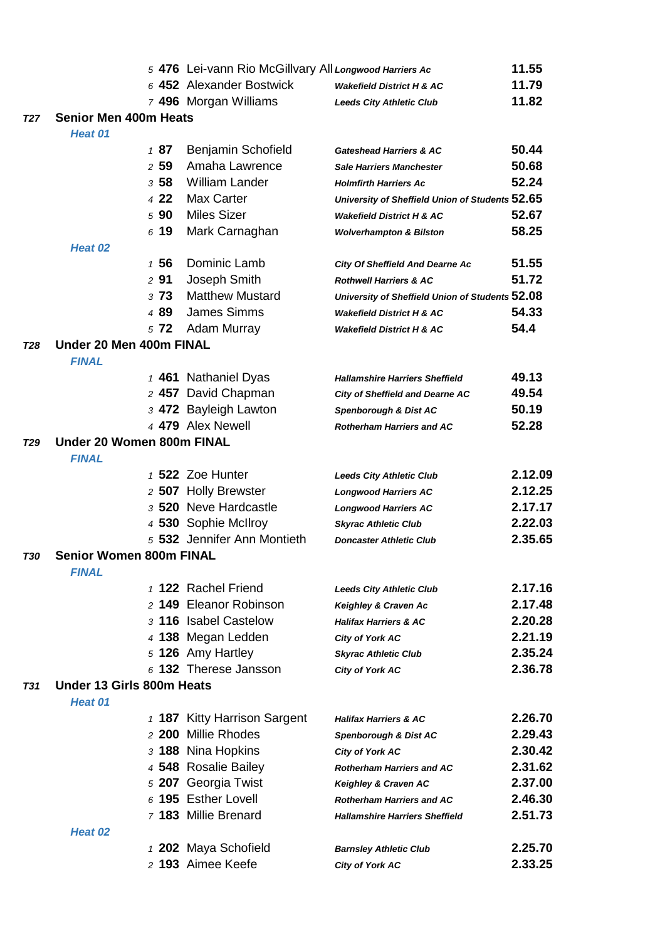|            |                                                |      | 5 476 Lei-vann Rio McGillvary All Longwood Harriers Ac |                                                 | 11.55   |
|------------|------------------------------------------------|------|--------------------------------------------------------|-------------------------------------------------|---------|
|            |                                                |      | 6 452 Alexander Bostwick                               | <b>Wakefield District H &amp; AC</b>            | 11.79   |
|            |                                                |      | 7 496 Morgan Williams                                  | <b>Leeds City Athletic Club</b>                 | 11.82   |
| <b>T27</b> | <b>Senior Men 400m Heats</b>                   |      |                                                        |                                                 |         |
|            | Heat 01                                        |      |                                                        |                                                 |         |
|            |                                                | 187  | Benjamin Schofield                                     | <b>Gateshead Harriers &amp; AC</b>              | 50.44   |
|            |                                                | 259  | Amaha Lawrence                                         | <b>Sale Harriers Manchester</b>                 | 50.68   |
|            |                                                | 358  | <b>William Lander</b>                                  | <b>Holmfirth Harriers Ac</b>                    | 52.24   |
|            |                                                | 4 22 | Max Carter                                             | University of Sheffield Union of Students 52.65 |         |
|            |                                                | 590  | <b>Miles Sizer</b>                                     | <b>Wakefield District H &amp; AC</b>            | 52.67   |
|            |                                                | 619  | Mark Carnaghan                                         | <b>Wolverhampton &amp; Bilston</b>              | 58.25   |
|            | Heat 02                                        |      |                                                        |                                                 |         |
|            |                                                | 1 56 | Dominic Lamb                                           | <b>City Of Sheffield And Dearne Ac</b>          | 51.55   |
|            |                                                | 291  | Joseph Smith                                           | <b>Rothwell Harriers &amp; AC</b>               | 51.72   |
|            |                                                | 373  | <b>Matthew Mustard</b>                                 | University of Sheffield Union of Students 52.08 |         |
|            |                                                | 489  | <b>James Simms</b>                                     | <b>Wakefield District H &amp; AC</b>            | 54.33   |
|            |                                                | 5 72 | Adam Murray                                            | <b>Wakefield District H &amp; AC</b>            | 54.4    |
| T28        | Under 20 Men 400m FINAL                        |      |                                                        |                                                 |         |
|            | <b>FINAL</b>                                   |      |                                                        |                                                 |         |
|            |                                                |      | 1 461 Nathaniel Dyas                                   | <b>Hallamshire Harriers Sheffield</b>           | 49.13   |
|            |                                                |      | 2 457 David Chapman                                    | <b>City of Sheffield and Dearne AC</b>          | 49.54   |
|            |                                                |      | 3 472 Bayleigh Lawton                                  | Spenborough & Dist AC                           | 50.19   |
|            |                                                |      | 4 479 Alex Newell                                      | <b>Rotherham Harriers and AC</b>                | 52.28   |
| <b>T29</b> | Under 20 Women 800m FINAL                      |      |                                                        |                                                 |         |
|            | <b>FINAL</b>                                   |      |                                                        |                                                 |         |
|            |                                                |      | 1 522 Zoe Hunter                                       | <b>Leeds City Athletic Club</b>                 | 2.12.09 |
|            |                                                |      | 2 507 Holly Brewster                                   | <b>Longwood Harriers AC</b>                     | 2.12.25 |
|            |                                                |      | 3 520 Neve Hardcastle                                  | <b>Longwood Harriers AC</b>                     | 2.17.17 |
|            |                                                |      | 4 530 Sophie McIlroy                                   | <b>Skyrac Athletic Club</b>                     | 2.22.03 |
|            |                                                |      | 5 532 Jennifer Ann Montieth                            | <b>Doncaster Athletic Club</b>                  | 2.35.65 |
| T30        | <b>Senior Women 800m FINAL</b><br><b>FINAL</b> |      |                                                        |                                                 |         |
|            |                                                |      | 1 122 Rachel Friend                                    | <b>Leeds City Athletic Club</b>                 | 2.17.16 |
|            |                                                |      | 2 149 Eleanor Robinson                                 | Keighley & Craven Ac                            | 2.17.48 |
|            |                                                |      | 3 116 Isabel Castelow                                  | <b>Halifax Harriers &amp; AC</b>                | 2.20.28 |
|            |                                                |      | 4 138 Megan Ledden                                     | <b>City of York AC</b>                          | 2.21.19 |
|            |                                                |      | 5 126 Amy Hartley                                      | <b>Skyrac Athletic Club</b>                     | 2.35.24 |
|            |                                                |      | 6 132 Therese Jansson                                  | <b>City of York AC</b>                          | 2.36.78 |
| <b>T31</b> | Under 13 Girls 800m Heats                      |      |                                                        |                                                 |         |
|            | Heat 01                                        |      |                                                        |                                                 |         |
|            |                                                |      | 1 187 Kitty Harrison Sargent                           | <b>Halifax Harriers &amp; AC</b>                | 2.26.70 |
|            |                                                |      | 2 200 Millie Rhodes                                    | Spenborough & Dist AC                           | 2.29.43 |
|            |                                                |      | 3 188 Nina Hopkins                                     | <b>City of York AC</b>                          | 2.30.42 |
|            |                                                |      | 4 548 Rosalie Bailey                                   | <b>Rotherham Harriers and AC</b>                | 2.31.62 |
|            |                                                |      | 5 207 Georgia Twist                                    | Keighley & Craven AC                            | 2.37.00 |
|            |                                                |      | 6 195 Esther Lovell                                    | <b>Rotherham Harriers and AC</b>                | 2.46.30 |
|            |                                                |      | 7 183 Millie Brenard                                   | <b>Hallamshire Harriers Sheffield</b>           | 2.51.73 |
|            | Heat 02                                        |      |                                                        |                                                 |         |
|            |                                                |      | 1 202 Maya Schofield                                   | <b>Barnsley Athletic Club</b>                   | 2.25.70 |
|            |                                                |      | 2 193 Aimee Keefe                                      | City of York AC                                 | 2.33.25 |
|            |                                                |      |                                                        |                                                 |         |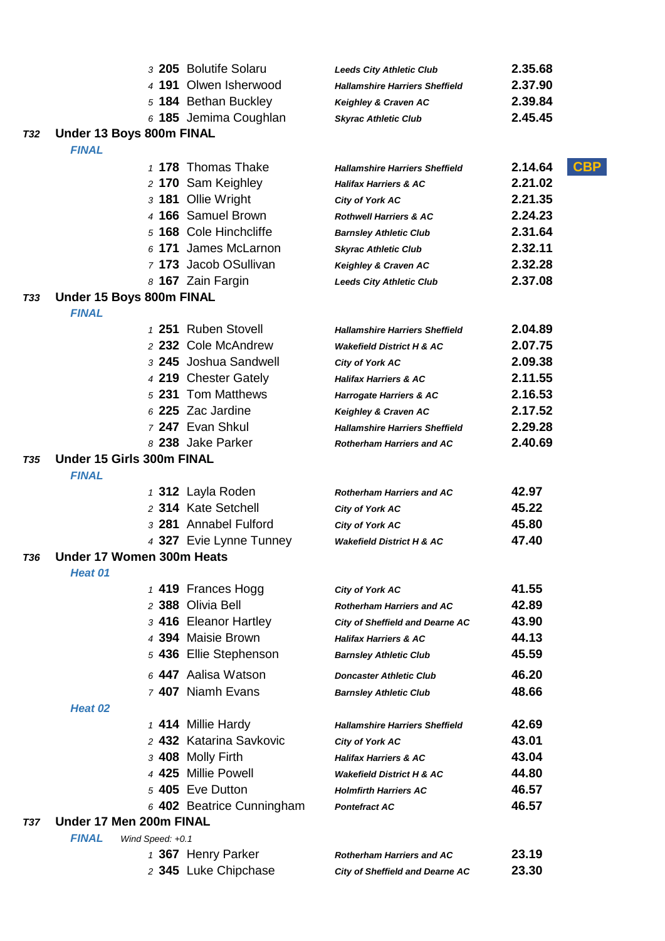|            |                                  | 3 205 Bolutife Solaru                       | <b>Leeds City Athletic Club</b>                                            | 2.35.68               |
|------------|----------------------------------|---------------------------------------------|----------------------------------------------------------------------------|-----------------------|
|            |                                  | 4 191 Olwen Isherwood                       | <b>Hallamshire Harriers Sheffield</b>                                      | 2.37.90               |
|            |                                  | 5 184 Bethan Buckley                        | Keighley & Craven AC                                                       | 2.39.84               |
|            |                                  | 6 185 Jemima Coughlan                       | <b>Skyrac Athletic Club</b>                                                | 2.45.45               |
| <b>T32</b> | Under 13 Boys 800m FINAL         |                                             |                                                                            |                       |
|            | <b>FINAL</b>                     |                                             |                                                                            |                       |
|            |                                  | 1 178 Thomas Thake                          | <b>Hallamshire Harriers Sheffield</b>                                      | <b>CBP</b><br>2.14.64 |
|            |                                  | 2 170 Sam Keighley                          | <b>Halifax Harriers &amp; AC</b>                                           | 2.21.02               |
|            |                                  | 3 181 Ollie Wright                          | City of York AC                                                            | 2.21.35               |
|            |                                  | 4 166 Samuel Brown                          | <b>Rothwell Harriers &amp; AC</b>                                          | 2.24.23               |
|            |                                  | 5 168 Cole Hinchcliffe                      | <b>Barnsley Athletic Club</b>                                              | 2.31.64               |
|            |                                  | 6 171 James McLarnon                        | <b>Skyrac Athletic Club</b>                                                | 2.32.11               |
|            |                                  | 7 173 Jacob OSullivan                       | Keighley & Craven AC                                                       | 2.32.28               |
|            |                                  | 8 167 Zain Fargin                           | <b>Leeds City Athletic Club</b>                                            | 2.37.08               |
| T33        | Under 15 Boys 800m FINAL         |                                             |                                                                            |                       |
|            | <b>FINAL</b>                     |                                             |                                                                            |                       |
|            |                                  | 1 251 Ruben Stovell                         | <b>Hallamshire Harriers Sheffield</b>                                      | 2.04.89               |
|            |                                  | 2 232 Cole McAndrew                         | <b>Wakefield District H &amp; AC</b>                                       | 2.07.75               |
|            |                                  | 3 245 Joshua Sandwell                       | <b>City of York AC</b>                                                     | 2.09.38               |
|            |                                  | 4 219 Chester Gately                        | <b>Halifax Harriers &amp; AC</b>                                           | 2.11.55               |
|            |                                  | 5 231 Tom Matthews                          | <b>Harrogate Harriers &amp; AC</b>                                         | 2.16.53               |
|            |                                  | 6 225 Zac Jardine                           | Keighley & Craven AC                                                       | 2.17.52               |
|            |                                  | 7 247 Evan Shkul                            | <b>Hallamshire Harriers Sheffield</b>                                      | 2.29.28               |
|            |                                  | 8 238 Jake Parker                           | <b>Rotherham Harriers and AC</b>                                           | 2.40.69               |
| T35        | Under 15 Girls 300m FINAL        |                                             |                                                                            |                       |
|            | <b>FINAL</b>                     |                                             |                                                                            |                       |
|            |                                  | 1 312 Layla Roden                           | <b>Rotherham Harriers and AC</b>                                           | 42.97                 |
|            |                                  | 2 314 Kate Setchell                         | <b>City of York AC</b>                                                     | 45.22                 |
|            |                                  | 3 281 Annabel Fulford                       | City of York AC                                                            | 45.80                 |
|            |                                  | 4 327 Evie Lynne Tunney                     | <b>Wakefield District H &amp; AC</b>                                       | 47.40                 |
| T36        | Under 17 Women 300m Heats        |                                             |                                                                            |                       |
|            | Heat 01                          |                                             |                                                                            | 41.55                 |
|            |                                  | 1 419 Frances Hogg<br>2 388 Olivia Bell     | <b>City of York AC</b>                                                     | 42.89                 |
|            |                                  |                                             | <b>Rotherham Harriers and AC</b>                                           | 43.90                 |
|            |                                  | 3 416 Eleanor Hartley<br>4 394 Maisie Brown | <b>City of Sheffield and Dearne AC</b><br><b>Halifax Harriers &amp; AC</b> | 44.13                 |
|            |                                  | 5 436 Ellie Stephenson                      | <b>Barnsley Athletic Club</b>                                              | 45.59                 |
|            |                                  |                                             |                                                                            |                       |
|            |                                  | 6 447 Aalisa Watson                         | <b>Doncaster Athletic Club</b>                                             | 46.20                 |
|            |                                  | 7 407 Niamh Evans                           | <b>Barnsley Athletic Club</b>                                              | 48.66                 |
|            | Heat 02                          |                                             |                                                                            |                       |
|            |                                  | 1 414 Millie Hardy                          | <b>Hallamshire Harriers Sheffield</b>                                      | 42.69                 |
|            |                                  | 2 432 Katarina Savkovic                     | City of York AC                                                            | 43.01                 |
|            |                                  | 3 408 Molly Firth                           | <b>Halifax Harriers &amp; AC</b>                                           | 43.04                 |
|            |                                  | 4 425 Millie Powell                         | <b>Wakefield District H &amp; AC</b>                                       | 44.80                 |
|            |                                  | 5 405 Eve Dutton                            | <b>Holmfirth Harriers AC</b>                                               | 46.57                 |
|            |                                  | 6 402 Beatrice Cunningham                   | <b>Pontefract AC</b>                                                       | 46.57                 |
| T37        | Under 17 Men 200m FINAL          |                                             |                                                                            |                       |
|            | <b>FINAL</b><br>Wind Speed: +0.1 |                                             |                                                                            |                       |
|            |                                  | 1 367 Henry Parker                          | <b>Rotherham Harriers and AC</b>                                           | 23.19                 |
|            |                                  | 2 345 Luke Chipchase                        | <b>City of Sheffield and Dearne AC</b>                                     | 23.30                 |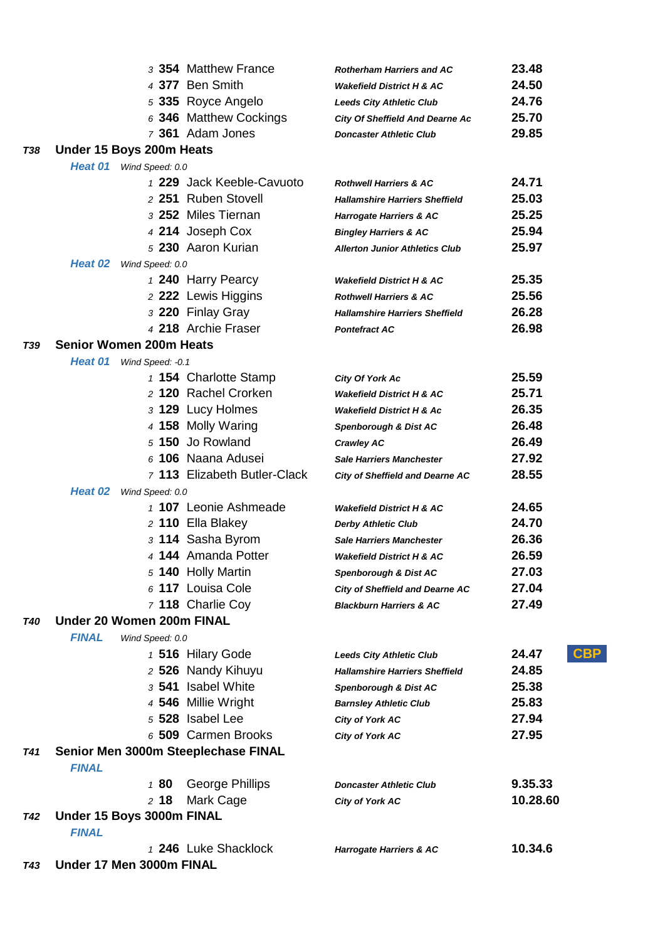|            |                                                     | 3 354 Matthew France         | <b>Rotherham Harriers and AC</b>       | 23.48               |
|------------|-----------------------------------------------------|------------------------------|----------------------------------------|---------------------|
|            |                                                     | 4 377 Ben Smith              | <b>Wakefield District H &amp; AC</b>   | 24.50               |
|            |                                                     | 5 335 Royce Angelo           | <b>Leeds City Athletic Club</b>        | 24.76               |
|            |                                                     | 6 346 Matthew Cockings       | <b>City Of Sheffield And Dearne Ac</b> | 25.70               |
|            |                                                     | 7 361 Adam Jones             | <b>Doncaster Athletic Club</b>         | 29.85               |
| <b>T38</b> | Under 15 Boys 200m Heats                            |                              |                                        |                     |
|            | Heat 01 Wind Speed: 0.0                             |                              |                                        |                     |
|            |                                                     | 1 229 Jack Keeble-Cavuoto    | <b>Rothwell Harriers &amp; AC</b>      | 24.71               |
|            |                                                     | 2 251 Ruben Stovell          | <b>Hallamshire Harriers Sheffield</b>  | 25.03               |
|            |                                                     | 3 252 Miles Tiernan          | Harrogate Harriers & AC                | 25.25               |
|            |                                                     | 4 214 Joseph Cox             | <b>Bingley Harriers &amp; AC</b>       | 25.94               |
|            |                                                     | 5 230 Aaron Kurian           | <b>Allerton Junior Athletics Club</b>  | 25.97               |
|            | Heat 02<br>Wind Speed: 0.0                          |                              |                                        |                     |
|            |                                                     | 1 240 Harry Pearcy           | <b>Wakefield District H &amp; AC</b>   | 25.35               |
|            |                                                     | 2 222 Lewis Higgins          | <b>Rothwell Harriers &amp; AC</b>      | 25.56               |
|            |                                                     | 3 220 Finlay Gray            | <b>Hallamshire Harriers Sheffield</b>  | 26.28               |
|            |                                                     | 4 218 Archie Fraser          | <b>Pontefract AC</b>                   | 26.98               |
| <b>T39</b> | <b>Senior Women 200m Heats</b>                      |                              |                                        |                     |
|            | Heat 01<br>Wind Speed: -0.1                         |                              |                                        |                     |
|            |                                                     | 1 154 Charlotte Stamp        | <b>City Of York Ac</b>                 | 25.59               |
|            |                                                     | 2 120 Rachel Crorken         | <b>Wakefield District H &amp; AC</b>   | 25.71               |
|            |                                                     | 3 129 Lucy Holmes            | <b>Wakefield District H &amp; Ac</b>   | 26.35               |
|            |                                                     | 4 158 Molly Waring           | Spenborough & Dist AC                  | 26.48               |
|            |                                                     | 5 150 Jo Rowland             | <b>Crawley AC</b>                      | 26.49               |
|            |                                                     | 6 106 Naana Adusei           | <b>Sale Harriers Manchester</b>        | 27.92               |
|            |                                                     | 7 113 Elizabeth Butler-Clack | <b>City of Sheffield and Dearne AC</b> | 28.55               |
|            | Heat 02<br>Wind Speed: 0.0                          |                              |                                        |                     |
|            |                                                     | 1 107 Leonie Ashmeade        | <b>Wakefield District H &amp; AC</b>   | 24.65               |
|            |                                                     | 2 110 Ella Blakey            | <b>Derby Athletic Club</b>             | 24.70               |
|            |                                                     | 3 114 Sasha Byrom            | <b>Sale Harriers Manchester</b>        | 26.36               |
|            |                                                     | 4 144 Amanda Potter          | <b>Wakefield District H &amp; AC</b>   | 26.59               |
|            |                                                     | 5 140 Holly Martin           | Spenborough & Dist AC                  | 27.03               |
|            |                                                     | 6 117 Louisa Cole            | City of Sheffield and Dearne AC        | 27.04               |
|            |                                                     | 7 118 Charlie Coy            | <b>Blackburn Harriers &amp; AC</b>     | 27.49               |
| <b>T40</b> | Under 20 Women 200m FINAL                           |                              |                                        |                     |
|            | <b>FINAL</b><br>Wind Speed: 0.0                     |                              |                                        |                     |
|            |                                                     | 1 516 Hilary Gode            | <b>Leeds City Athletic Club</b>        | <b>CBP</b><br>24.47 |
|            |                                                     | 2 526 Nandy Kihuyu           | <b>Hallamshire Harriers Sheffield</b>  | 24.85               |
|            |                                                     | 3 541 Isabel White           | Spenborough & Dist AC                  | 25.38               |
|            |                                                     | 4 546 Millie Wright          | <b>Barnsley Athletic Club</b>          | 25.83               |
|            |                                                     | 5 528 Isabel Lee             | City of York AC                        | 27.94               |
|            |                                                     | 6 509 Carmen Brooks          | <b>City of York AC</b>                 | 27.95               |
| T41        | Senior Men 3000m Steeplechase FINAL<br><b>FINAL</b> |                              |                                        |                     |
|            | 180                                                 | George Phillips              | <b>Doncaster Athletic Club</b>         | 9.35.33             |
|            | $2$ 18                                              | Mark Cage                    | <b>City of York AC</b>                 | 10.28.60            |
| <b>T42</b> | Under 15 Boys 3000m FINAL                           |                              |                                        |                     |
|            | <b>FINAL</b>                                        |                              |                                        |                     |
|            |                                                     | 1 246 Luke Shacklock         | <b>Harrogate Harriers &amp; AC</b>     | 10.34.6             |
| T43        | Under 17 Men 3000m FINAL                            |                              |                                        |                     |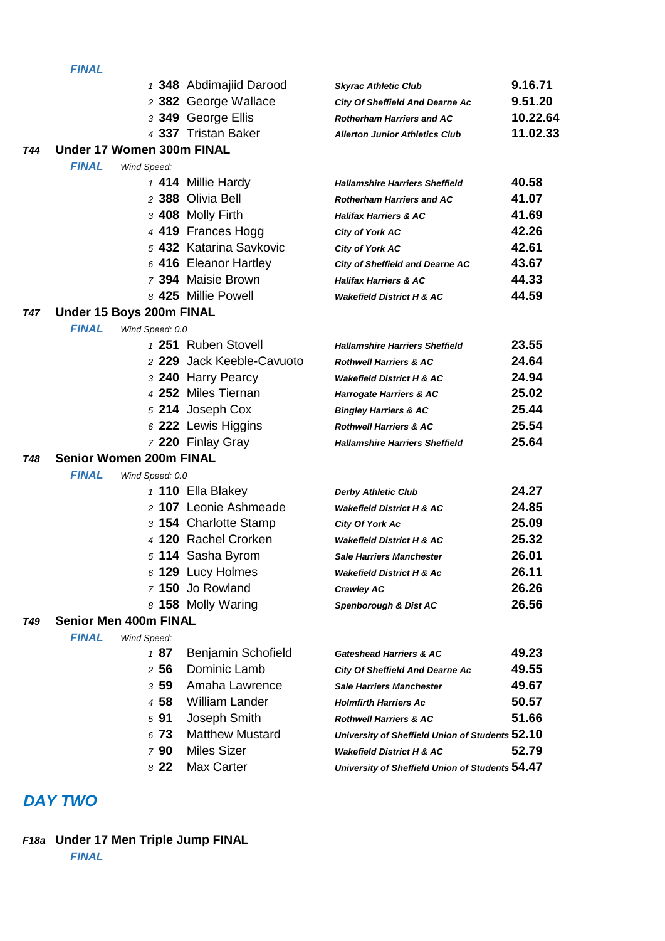|     |                                |                 | 1 348 Abdimajiid Darood   | <b>Skyrac Athletic Club</b>                     | 9.16.71  |
|-----|--------------------------------|-----------------|---------------------------|-------------------------------------------------|----------|
|     |                                |                 | 2 382 George Wallace      | <b>City Of Sheffield And Dearne Ac</b>          | 9.51.20  |
|     |                                |                 | 3 349 George Ellis        | <b>Rotherham Harriers and AC</b>                | 10.22.64 |
|     |                                |                 | 4 337 Tristan Baker       | <b>Allerton Junior Athletics Club</b>           | 11.02.33 |
| T44 | Under 17 Women 300m FINAL      |                 |                           |                                                 |          |
|     | <b>FINAL</b>                   | Wind Speed:     |                           |                                                 |          |
|     |                                |                 | 1 414 Millie Hardy        | <b>Hallamshire Harriers Sheffield</b>           | 40.58    |
|     |                                |                 | 2 388 Olivia Bell         | <b>Rotherham Harriers and AC</b>                | 41.07    |
|     |                                |                 | 3 408 Molly Firth         | <b>Halifax Harriers &amp; AC</b>                | 41.69    |
|     |                                |                 | 4 419 Frances Hogg        | <b>City of York AC</b>                          | 42.26    |
|     |                                |                 | 5 432 Katarina Savkovic   | <b>City of York AC</b>                          | 42.61    |
|     |                                |                 | 6 416 Eleanor Hartley     | <b>City of Sheffield and Dearne AC</b>          | 43.67    |
|     |                                |                 | 7 394 Maisie Brown        | <b>Halifax Harriers &amp; AC</b>                | 44.33    |
|     |                                |                 | 8 425 Millie Powell       | <b>Wakefield District H &amp; AC</b>            | 44.59    |
| T47 | Under 15 Boys 200m FINAL       |                 |                           |                                                 |          |
|     | <b>FINAL</b>                   | Wind Speed: 0.0 |                           |                                                 |          |
|     |                                |                 | 1 251 Ruben Stovell       | <b>Hallamshire Harriers Sheffield</b>           | 23.55    |
|     |                                |                 | 2 229 Jack Keeble-Cavuoto | <b>Rothwell Harriers &amp; AC</b>               | 24.64    |
|     |                                |                 | 3 240 Harry Pearcy        | <b>Wakefield District H &amp; AC</b>            | 24.94    |
|     |                                |                 | 4 252 Miles Tiernan       | <b>Harrogate Harriers &amp; AC</b>              | 25.02    |
|     |                                |                 | 5 214 Joseph Cox          | <b>Bingley Harriers &amp; AC</b>                | 25.44    |
|     |                                |                 | 6 222 Lewis Higgins       | <b>Rothwell Harriers &amp; AC</b>               | 25.54    |
|     |                                |                 | 7 220 Finlay Gray         | <b>Hallamshire Harriers Sheffield</b>           | 25.64    |
| T48 | <b>Senior Women 200m FINAL</b> |                 |                           |                                                 |          |
|     | <b>FINAL</b>                   | Wind Speed: 0.0 |                           |                                                 |          |
|     |                                |                 | 1 110 Ella Blakey         | <b>Derby Athletic Club</b>                      | 24.27    |
|     |                                |                 | 2 107 Leonie Ashmeade     | <b>Wakefield District H &amp; AC</b>            | 24.85    |
|     |                                |                 | 3 154 Charlotte Stamp     | <b>City Of York Ac</b>                          | 25.09    |
|     |                                |                 | 4 120 Rachel Crorken      | <b>Wakefield District H &amp; AC</b>            | 25.32    |
|     |                                |                 | 5 114 Sasha Byrom         | <b>Sale Harriers Manchester</b>                 | 26.01    |
|     |                                |                 | 6 129 Lucy Holmes         | <b>Wakefield District H &amp; Ac</b>            | 26.11    |
|     |                                |                 | 7 150 Jo Rowland          | <b>Crawley AC</b>                               | 26.26    |
|     |                                |                 | 8 158 Molly Waring        | Spenborough & Dist AC                           | 26.56    |
| T49 | <b>Senior Men 400m FINAL</b>   |                 |                           |                                                 |          |
|     | <b>FINAL</b>                   | Wind Speed:     |                           |                                                 |          |
|     |                                | 187             | Benjamin Schofield        | <b>Gateshead Harriers &amp; AC</b>              | 49.23    |
|     |                                | 256             | Dominic Lamb              | <b>City Of Sheffield And Dearne Ac</b>          | 49.55    |
|     |                                | 359             | Amaha Lawrence            | <b>Sale Harriers Manchester</b>                 | 49.67    |
|     |                                | 4 58            | <b>William Lander</b>     | <b>Holmfirth Harriers Ac</b>                    | 50.57    |
|     |                                | 591             | Joseph Smith              | <b>Rothwell Harriers &amp; AC</b>               | 51.66    |
|     |                                | 673             | <b>Matthew Mustard</b>    | University of Sheffield Union of Students 52.10 |          |
|     |                                | 790             | <b>Miles Sizer</b>        | <b>Wakefield District H &amp; AC</b>            | 52.79    |
|     |                                | 822             | Max Carter                | University of Sheffield Union of Students 54.47 |          |

# *DAY TWO*

# *F18a* **Under 17 Men Triple Jump FINAL**

*FINAL*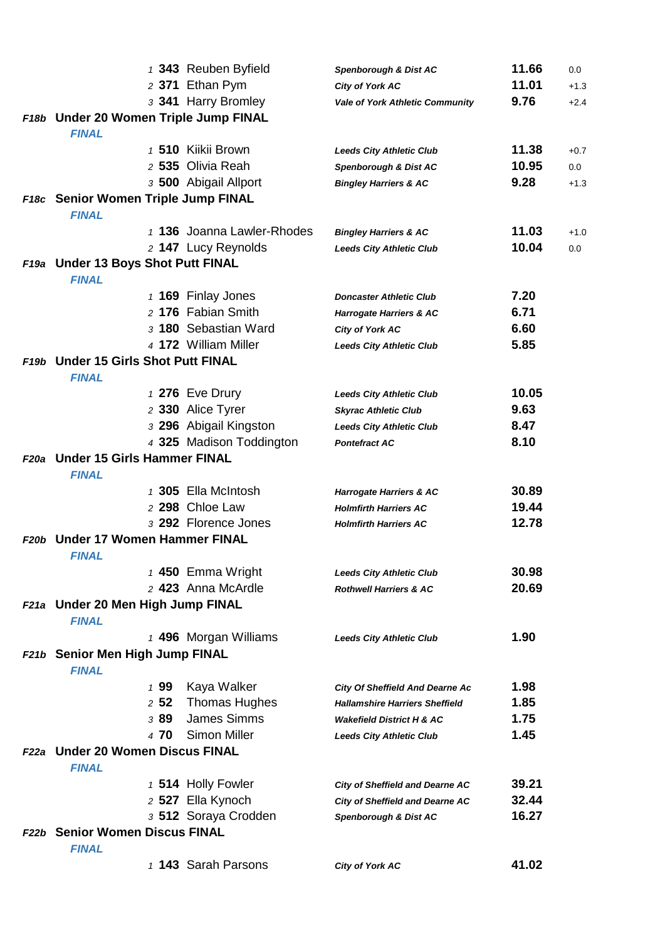|             |                                                     | 1 343 Reuben Byfield       | Spenborough & Dist AC                  | 11.66 | 0.0    |
|-------------|-----------------------------------------------------|----------------------------|----------------------------------------|-------|--------|
|             |                                                     | 2 371 Ethan Pym            | City of York AC                        | 11.01 | $+1.3$ |
|             |                                                     | 3 341 Harry Bromley        | <b>Vale of York Athletic Community</b> | 9.76  | $+2.4$ |
|             | F18b Under 20 Women Triple Jump FINAL               |                            |                                        |       |        |
|             | <b>FINAL</b>                                        |                            |                                        |       |        |
|             |                                                     | 1 510 Kiikii Brown         | <b>Leeds City Athletic Club</b>        | 11.38 | $+0.7$ |
|             |                                                     | 2 535 Olivia Reah          | Spenborough & Dist AC                  | 10.95 | 0.0    |
|             |                                                     | 3 500 Abigail Allport      | <b>Bingley Harriers &amp; AC</b>       | 9.28  | $+1.3$ |
|             | F18c Senior Women Triple Jump FINAL                 |                            |                                        |       |        |
|             | <b>FINAL</b>                                        |                            |                                        |       |        |
|             |                                                     | 1 136 Joanna Lawler-Rhodes | <b>Bingley Harriers &amp; AC</b>       | 11.03 | $+1.0$ |
|             |                                                     | 2 147 Lucy Reynolds        | <b>Leeds City Athletic Club</b>        | 10.04 | 0.0    |
|             | F19a Under 13 Boys Shot Putt FINAL<br><b>FINAL</b>  |                            |                                        |       |        |
|             |                                                     | 1 169 Finlay Jones         | <b>Doncaster Athletic Club</b>         | 7.20  |        |
|             |                                                     | 2 176 Fabian Smith         | <b>Harrogate Harriers &amp; AC</b>     | 6.71  |        |
|             |                                                     | 3 180 Sebastian Ward       | <b>City of York AC</b>                 | 6.60  |        |
|             |                                                     | 4 172 William Miller       | <b>Leeds City Athletic Club</b>        | 5.85  |        |
|             | F19b Under 15 Girls Shot Putt FINAL<br><b>FINAL</b> |                            |                                        |       |        |
|             |                                                     | 1 276 Eve Drury            | <b>Leeds City Athletic Club</b>        | 10.05 |        |
|             |                                                     | 2 330 Alice Tyrer          | <b>Skyrac Athletic Club</b>            | 9.63  |        |
|             |                                                     | 3 296 Abigail Kingston     | <b>Leeds City Athletic Club</b>        | 8.47  |        |
|             |                                                     | 4 325 Madison Toddington   | <b>Pontefract AC</b>                   | 8.10  |        |
| <b>F20a</b> | <b>Under 15 Girls Hammer FINAL</b><br><b>FINAL</b>  |                            |                                        |       |        |
|             |                                                     | 1 305 Ella McIntosh        | <b>Harrogate Harriers &amp; AC</b>     | 30.89 |        |
|             |                                                     | 2 298 Chloe Law            | <b>Holmfirth Harriers AC</b>           | 19.44 |        |
|             |                                                     | 3 292 Florence Jones       | <b>Holmfirth Harriers AC</b>           | 12.78 |        |
| F20b        | <b>Under 17 Women Hammer FINAL</b><br><b>FINAL</b>  |                            |                                        |       |        |
|             |                                                     | 1 450 Emma Wright          | <b>Leeds City Athletic Club</b>        | 30.98 |        |
|             |                                                     | 2 423 Anna McArdle         | <b>Rothwell Harriers &amp; AC</b>      | 20.69 |        |
|             | F21a Under 20 Men High Jump FINAL                   |                            |                                        |       |        |
|             | <b>FINAL</b>                                        |                            |                                        |       |        |
|             |                                                     | 1 496 Morgan Williams      | <b>Leeds City Athletic Club</b>        | 1.90  |        |
|             | F21b Senior Men High Jump FINAL<br><b>FINAL</b>     |                            |                                        |       |        |
|             | 199                                                 | Kaya Walker                | <b>City Of Sheffield And Dearne Ac</b> | 1.98  |        |
|             | 252                                                 | <b>Thomas Hughes</b>       | <b>Hallamshire Harriers Sheffield</b>  | 1.85  |        |
|             | 389                                                 | <b>James Simms</b>         | <b>Wakefield District H &amp; AC</b>   | 1.75  |        |
|             | 4 70                                                | <b>Simon Miller</b>        | <b>Leeds City Athletic Club</b>        | 1.45  |        |
|             | F22a Under 20 Women Discus FINAL<br><b>FINAL</b>    |                            |                                        |       |        |
|             |                                                     | 1 514 Holly Fowler         | <b>City of Sheffield and Dearne AC</b> | 39.21 |        |
|             |                                                     | 2 527 Ella Kynoch          | <b>City of Sheffield and Dearne AC</b> | 32.44 |        |
|             |                                                     | 3 512 Soraya Crodden       | Spenborough & Dist AC                  | 16.27 |        |
|             | <b>F22b</b> Senior Women Discus FINAL               |                            |                                        |       |        |
|             | <b>FINAL</b>                                        |                            |                                        |       |        |
|             |                                                     | 1 143 Sarah Parsons        | City of York AC                        | 41.02 |        |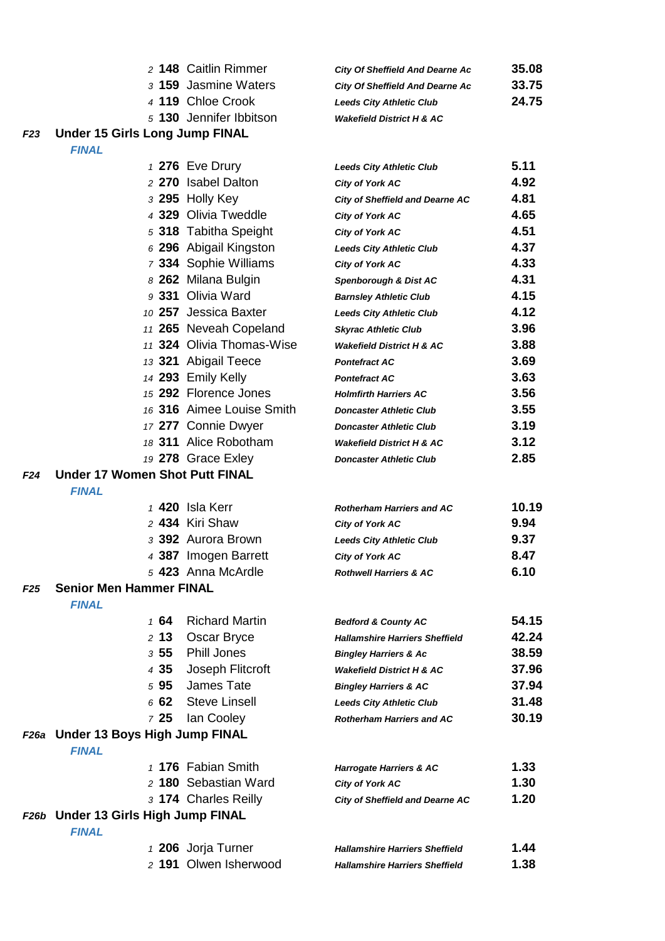| 2 148 Caitlin Rimmer    | <b>City Of Sheffield And Dearne Ac</b> | 35.08 |
|-------------------------|----------------------------------------|-------|
| 3 159 Jasmine Waters    | <b>City Of Sheffield And Dearne Ac</b> | 33.75 |
| 4 119 Chloe Crook       | <b>Leeds City Athletic Club</b>        | 24.75 |
| 5 130 Jennifer Ibbitson | <b>Wakefield District H &amp; AC</b>   |       |

## *F23* **Under 15 Girls Long Jump FINAL**

|            |                                               | 1 276 Eve Drury           | <b>Leeds City Athletic Club</b>        | 5.11  |
|------------|-----------------------------------------------|---------------------------|----------------------------------------|-------|
|            |                                               | 2 270 Isabel Dalton       | City of York AC                        | 4.92  |
|            |                                               | 3 295 Holly Key           | <b>City of Sheffield and Dearne AC</b> | 4.81  |
|            |                                               | 4 329 Olivia Tweddle      | <b>City of York AC</b>                 | 4.65  |
|            |                                               | 5 318 Tabitha Speight     | City of York AC                        | 4.51  |
|            |                                               | 6 296 Abigail Kingston    | <b>Leeds City Athletic Club</b>        | 4.37  |
|            |                                               | 7 334 Sophie Williams     | <b>City of York AC</b>                 | 4.33  |
|            |                                               | 8 262 Milana Bulgin       | Spenborough & Dist AC                  | 4.31  |
|            |                                               | 9 331 Olivia Ward         | <b>Barnsley Athletic Club</b>          | 4.15  |
|            |                                               | 10 257 Jessica Baxter     | <b>Leeds City Athletic Club</b>        | 4.12  |
|            |                                               | 11 265 Neveah Copeland    | <b>Skyrac Athletic Club</b>            | 3.96  |
|            |                                               | 11 324 Olivia Thomas-Wise | <b>Wakefield District H &amp; AC</b>   | 3.88  |
|            |                                               | 13 321 Abigail Teece      | <b>Pontefract AC</b>                   | 3.69  |
|            |                                               | 14 293 Emily Kelly        | <b>Pontefract AC</b>                   | 3.63  |
|            |                                               | 15 292 Florence Jones     | <b>Holmfirth Harriers AC</b>           | 3.56  |
|            |                                               | 16 316 Aimee Louise Smith | <b>Doncaster Athletic Club</b>         | 3.55  |
|            |                                               | 17 277 Connie Dwyer       | <b>Doncaster Athletic Club</b>         | 3.19  |
|            |                                               | 18 311 Alice Robotham     | <b>Wakefield District H &amp; AC</b>   | 3.12  |
|            |                                               | 19 278 Grace Exley        | <b>Doncaster Athletic Club</b>         | 2.85  |
| F24        | <b>Under 17 Women Shot Putt FINAL</b>         |                           |                                        |       |
|            | <b>FINAL</b>                                  |                           |                                        |       |
|            |                                               | 1 420 Isla Kerr           | <b>Rotherham Harriers and AC</b>       | 10.19 |
|            |                                               | 2 434 Kiri Shaw           | <b>City of York AC</b>                 | 9.94  |
|            |                                               | 3 392 Aurora Brown        | <b>Leeds City Athletic Club</b>        | 9.37  |
|            |                                               | 4 387 Imogen Barrett      | City of York AC                        | 8.47  |
|            |                                               | 5 423 Anna McArdle        | <b>Rothwell Harriers &amp; AC</b>      | 6.10  |
| <b>F25</b> | <b>Senior Men Hammer FINAL</b>                |                           |                                        |       |
|            | <b>FINAL</b>                                  |                           |                                        |       |
|            | 164                                           | <b>Richard Martin</b>     | <b>Bedford &amp; County AC</b>         | 54.15 |
|            | 2, 13                                         | Oscar Bryce               | <b>Hallamshire Harriers Sheffield</b>  | 42.24 |
|            | 355                                           | <b>Phill Jones</b>        | <b>Bingley Harriers &amp; Ac</b>       | 38.59 |
|            | 4 35                                          | Joseph Flitcroft          | <b>Wakefield District H &amp; AC</b>   | 37.96 |
|            | 595                                           | James Tate                | <b>Bingley Harriers &amp; AC</b>       | 37.94 |
|            | 662                                           | <b>Steve Linsell</b>      | <b>Leeds City Athletic Club</b>        | 31.48 |
|            | 725                                           | lan Cooley                | <b>Rotherham Harriers and AC</b>       | 30.19 |
| F26a       | Under 13 Boys High Jump FINAL<br><b>FINAL</b> |                           |                                        |       |
|            |                                               | 1 176 Fabian Smith        | <b>Harrogate Harriers &amp; AC</b>     | 1.33  |
|            |                                               | 2 180 Sebastian Ward      | <b>City of York AC</b>                 | 1.30  |
|            |                                               | 3 174 Charles Reilly      | <b>City of Sheffield and Dearne AC</b> | 1.20  |
|            | F26b Under 13 Girls High Jump FINAL           |                           |                                        |       |
|            | <b>FINAL</b>                                  |                           |                                        |       |
|            |                                               | 1 206 Jorja Turner        | <b>Hallamshire Harriers Sheffield</b>  | 1.44  |
|            |                                               | 2 191 Olwen Isherwood     | <b>Hallamshire Harriers Sheffield</b>  | 1.38  |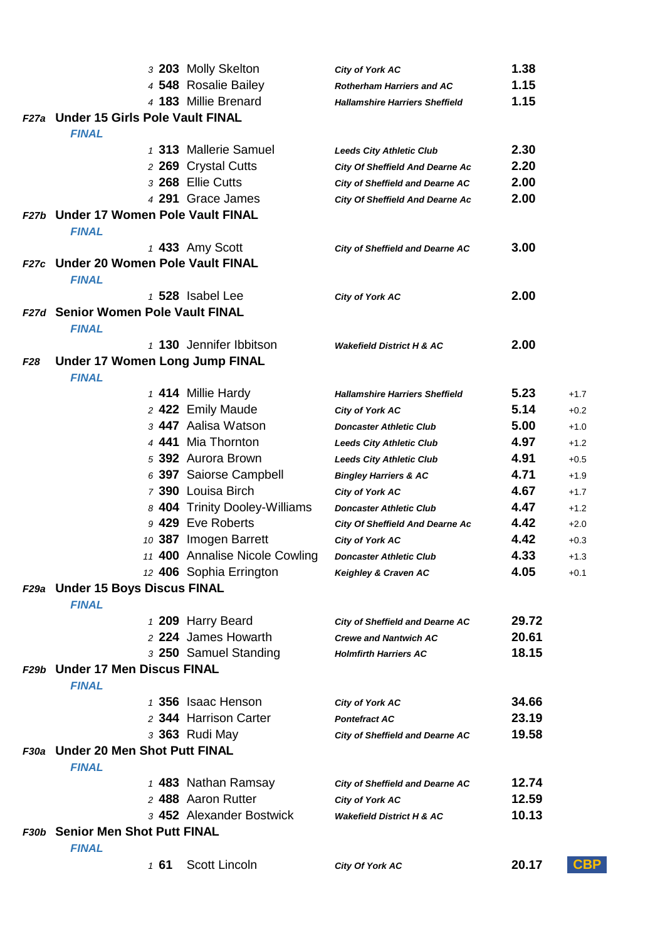|                 |                                        | 3 203 Molly Skelton            | City of York AC                        | 1.38  |            |
|-----------------|----------------------------------------|--------------------------------|----------------------------------------|-------|------------|
|                 |                                        | 4 548 Rosalie Bailey           | <b>Rotherham Harriers and AC</b>       | 1.15  |            |
|                 |                                        | 4 183 Millie Brenard           | <b>Hallamshire Harriers Sheffield</b>  | 1.15  |            |
|                 | F27a Under 15 Girls Pole Vault FINAL   |                                |                                        |       |            |
|                 | <b>FINAL</b>                           |                                |                                        |       |            |
|                 |                                        | 1 313 Mallerie Samuel          | <b>Leeds City Athletic Club</b>        | 2.30  |            |
|                 |                                        | 2 269 Crystal Cutts            | <b>City Of Sheffield And Dearne Ac</b> | 2.20  |            |
|                 |                                        | 3 268 Ellie Cutts              | <b>City of Sheffield and Dearne AC</b> | 2.00  |            |
|                 |                                        | 4 291 Grace James              | <b>City Of Sheffield And Dearne Ac</b> | 2.00  |            |
| F27b            | <b>Under 17 Women Pole Vault FINAL</b> |                                |                                        |       |            |
|                 | <b>FINAL</b>                           |                                |                                        |       |            |
|                 |                                        | 1 433 Amy Scott                | <b>City of Sheffield and Dearne AC</b> | 3.00  |            |
| <b>F27c</b>     | <b>Under 20 Women Pole Vault FINAL</b> |                                |                                        |       |            |
|                 | <b>FINAL</b>                           |                                |                                        |       |            |
|                 |                                        | 1 528 Isabel Lee               | <b>City of York AC</b>                 | 2.00  |            |
|                 | F27d Senior Women Pole Vault FINAL     |                                |                                        |       |            |
|                 | <b>FINAL</b>                           |                                |                                        |       |            |
|                 |                                        | 1 130 Jennifer Ibbitson        | <b>Wakefield District H &amp; AC</b>   | 2.00  |            |
| F <sub>28</sub> | <b>Under 17 Women Long Jump FINAL</b>  |                                |                                        |       |            |
|                 | <b>FINAL</b>                           |                                |                                        |       |            |
|                 |                                        | 1 414 Millie Hardy             | <b>Hallamshire Harriers Sheffield</b>  | 5.23  | $+1.7$     |
|                 |                                        | 2 422 Emily Maude              | <b>City of York AC</b>                 | 5.14  | $+0.2$     |
|                 |                                        | 3 447 Aalisa Watson            | <b>Doncaster Athletic Club</b>         | 5.00  | $+1.0$     |
|                 |                                        | 4 441 Mia Thornton             | <b>Leeds City Athletic Club</b>        | 4.97  | $+1.2$     |
|                 |                                        | 5 392 Aurora Brown             | <b>Leeds City Athletic Club</b>        | 4.91  | $+0.5$     |
|                 |                                        | 6 397 Saiorse Campbell         | <b>Bingley Harriers &amp; AC</b>       | 4.71  | $+1.9$     |
|                 |                                        | 7 390 Louisa Birch             | <b>City of York AC</b>                 | 4.67  | $+1.7$     |
|                 |                                        | 8 404 Trinity Dooley-Williams  | <b>Doncaster Athletic Club</b>         | 4.47  | $+1.2$     |
|                 |                                        | 9 429 Eve Roberts              | <b>City Of Sheffield And Dearne Ac</b> | 4.42  | $+2.0$     |
|                 |                                        | 10 387 Imogen Barrett          | City of York AC                        | 4.42  | $+0.3$     |
|                 |                                        | 11 400 Annalise Nicole Cowling | <b>Doncaster Athletic Club</b>         | 4.33  | $+1.3$     |
|                 |                                        | 12 406 Sophia Errington        | Keighley & Craven AC                   | 4.05  | $+0.1$     |
|                 | F29a Under 15 Boys Discus FINAL        |                                |                                        |       |            |
|                 | <b>FINAL</b>                           |                                |                                        |       |            |
|                 |                                        | 1 209 Harry Beard              | <b>City of Sheffield and Dearne AC</b> | 29.72 |            |
|                 |                                        | 2 224 James Howarth            | <b>Crewe and Nantwich AC</b>           | 20.61 |            |
|                 |                                        | 3 250 Samuel Standing          | <b>Holmfirth Harriers AC</b>           | 18.15 |            |
|                 | F29b Under 17 Men Discus FINAL         |                                |                                        |       |            |
|                 | <b>FINAL</b>                           |                                |                                        |       |            |
|                 |                                        | 1 356 Isaac Henson             | <b>City of York AC</b>                 | 34.66 |            |
|                 |                                        | 2 344 Harrison Carter          | <b>Pontefract AC</b>                   | 23.19 |            |
|                 |                                        | 3 363 Rudi May                 | <b>City of Sheffield and Dearne AC</b> | 19.58 |            |
| F30a            | <b>Under 20 Men Shot Putt FINAL</b>    |                                |                                        |       |            |
|                 | <b>FINAL</b>                           |                                |                                        |       |            |
|                 |                                        | 1 483 Nathan Ramsay            | <b>City of Sheffield and Dearne AC</b> | 12.74 |            |
|                 |                                        | 2 488 Aaron Rutter             | <b>City of York AC</b>                 | 12.59 |            |
|                 |                                        | 3 452 Alexander Bostwick       | <b>Wakefield District H &amp; AC</b>   | 10.13 |            |
|                 | F30b Senior Men Shot Putt FINAL        |                                |                                        |       |            |
|                 | <b>FINAL</b>                           |                                |                                        |       |            |
|                 | 1 61                                   | Scott Lincoln                  | City Of York AC                        | 20.17 | <b>CBP</b> |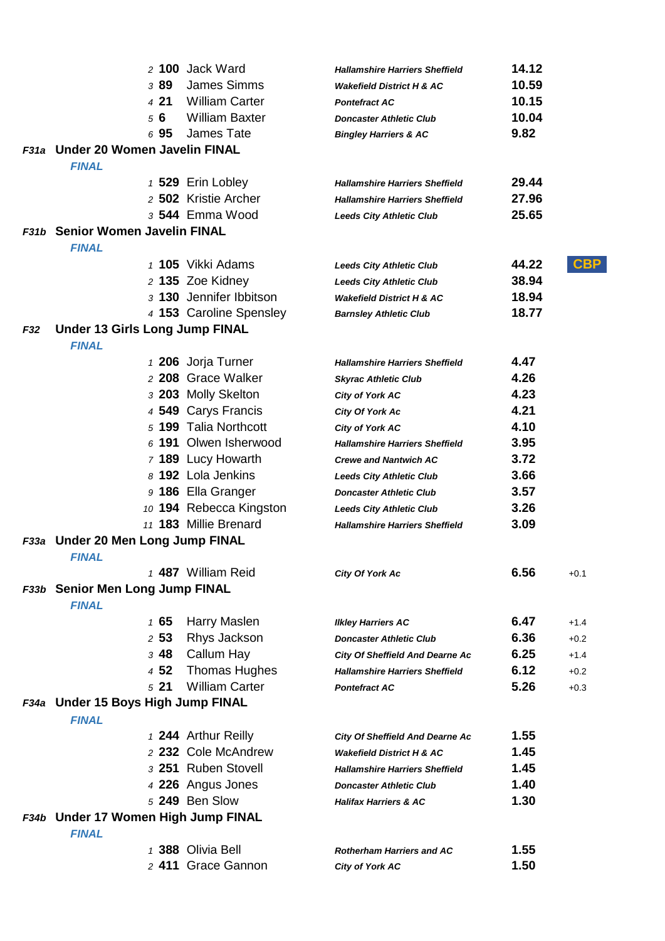|     |                                       | 2 100 Jack Ward         | <b>Hallamshire Harriers Sheffield</b>  | 14.12               |
|-----|---------------------------------------|-------------------------|----------------------------------------|---------------------|
|     | 389                                   | <b>James Simms</b>      | <b>Wakefield District H &amp; AC</b>   | 10.59               |
|     | 421                                   | <b>William Carter</b>   | <b>Pontefract AC</b>                   | 10.15               |
|     | 56                                    | <b>William Baxter</b>   | <b>Doncaster Athletic Club</b>         | 10.04               |
|     | 695                                   | James Tate              | <b>Bingley Harriers &amp; AC</b>       | 9.82                |
|     | F31a Under 20 Women Javelin FINAL     |                         |                                        |                     |
|     | <b>FINAL</b>                          |                         |                                        |                     |
|     |                                       | 1 529 Erin Lobley       | <b>Hallamshire Harriers Sheffield</b>  | 29.44               |
|     |                                       | 2 502 Kristie Archer    | <b>Hallamshire Harriers Sheffield</b>  | 27.96               |
|     |                                       | 3 544 Emma Wood         | <b>Leeds City Athletic Club</b>        | 25.65               |
|     | F31b Senior Women Javelin FINAL       |                         |                                        |                     |
|     | <b>FINAL</b>                          |                         |                                        |                     |
|     |                                       | 1 105 Vikki Adams       | <b>Leeds City Athletic Club</b>        | <b>CBP</b><br>44.22 |
|     |                                       | 2 135 Zoe Kidney        | <b>Leeds City Athletic Club</b>        | 38.94               |
|     |                                       | 3 130 Jennifer Ibbitson | <b>Wakefield District H &amp; AC</b>   | 18.94               |
|     |                                       | 4 153 Caroline Spensley | <b>Barnsley Athletic Club</b>          | 18.77               |
| F32 | <b>Under 13 Girls Long Jump FINAL</b> |                         |                                        |                     |
|     | <b>FINAL</b>                          |                         |                                        |                     |
|     |                                       | 1 206 Jorja Turner      | <b>Hallamshire Harriers Sheffield</b>  | 4.47                |
|     |                                       | 2 208 Grace Walker      | <b>Skyrac Athletic Club</b>            | 4.26                |
|     |                                       | 3 203 Molly Skelton     | <b>City of York AC</b>                 | 4.23                |
|     |                                       | 4 549 Carys Francis     | City Of York Ac                        | 4.21                |
|     |                                       | 5 199 Talia Northcott   | City of York AC                        | 4.10                |
|     |                                       | 6 191 Olwen Isherwood   | <b>Hallamshire Harriers Sheffield</b>  | 3.95                |
|     |                                       | 7 189 Lucy Howarth      | <b>Crewe and Nantwich AC</b>           | 3.72                |
|     |                                       | 8 192 Lola Jenkins      | <b>Leeds City Athletic Club</b>        | 3.66                |
|     |                                       | 9 186 Ella Granger      | <b>Doncaster Athletic Club</b>         | 3.57                |
|     |                                       | 10 194 Rebecca Kingston | <b>Leeds City Athletic Club</b>        | 3.26                |
|     |                                       | 11 183 Millie Brenard   | <b>Hallamshire Harriers Sheffield</b>  | 3.09                |
|     | F33a Under 20 Men Long Jump FINAL     |                         |                                        |                     |
|     | <b>FINAL</b>                          |                         |                                        |                     |
|     |                                       | 1 487 William Reid      | <b>City Of York Ac</b>                 | 6.56<br>$+0.1$      |
|     | F33b Senior Men Long Jump FINAL       |                         |                                        |                     |
|     | <b>FINAL</b>                          |                         |                                        |                     |
|     | 165                                   | Harry Maslen            | <b>Ilkley Harriers AC</b>              | 6.47<br>$+1.4$      |
|     | 253                                   | Rhys Jackson            | <b>Doncaster Athletic Club</b>         | 6.36<br>$+0.2$      |
|     | <sub>3</sub> 48                       | Callum Hay              | <b>City Of Sheffield And Dearne Ac</b> | 6.25<br>$+1.4$      |
|     | 4 52                                  | <b>Thomas Hughes</b>    | <b>Hallamshire Harriers Sheffield</b>  | 6.12<br>$+0.2$      |
|     | 521                                   | <b>William Carter</b>   | <b>Pontefract AC</b>                   | 5.26<br>$+0.3$      |
|     | F34a Under 15 Boys High Jump FINAL    |                         |                                        |                     |
|     | <b>FINAL</b>                          |                         |                                        |                     |
|     |                                       | 1 244 Arthur Reilly     | <b>City Of Sheffield And Dearne Ac</b> | 1.55                |
|     |                                       | 2 232 Cole McAndrew     | <b>Wakefield District H &amp; AC</b>   | 1.45                |
|     |                                       | 3 251 Ruben Stovell     | <b>Hallamshire Harriers Sheffield</b>  | 1.45                |
|     |                                       | 4 226 Angus Jones       | <b>Doncaster Athletic Club</b>         | 1.40                |
|     |                                       | 5 249 Ben Slow          | <b>Halifax Harriers &amp; AC</b>       | 1.30                |
|     | F34b Under 17 Women High Jump FINAL   |                         |                                        |                     |
|     | <b>FINAL</b>                          |                         |                                        |                     |
|     |                                       | 1 388 Olivia Bell       | <b>Rotherham Harriers and AC</b>       | 1.55                |
|     |                                       | 2 411 Grace Gannon      | <b>City of York AC</b>                 | 1.50                |
|     |                                       |                         |                                        |                     |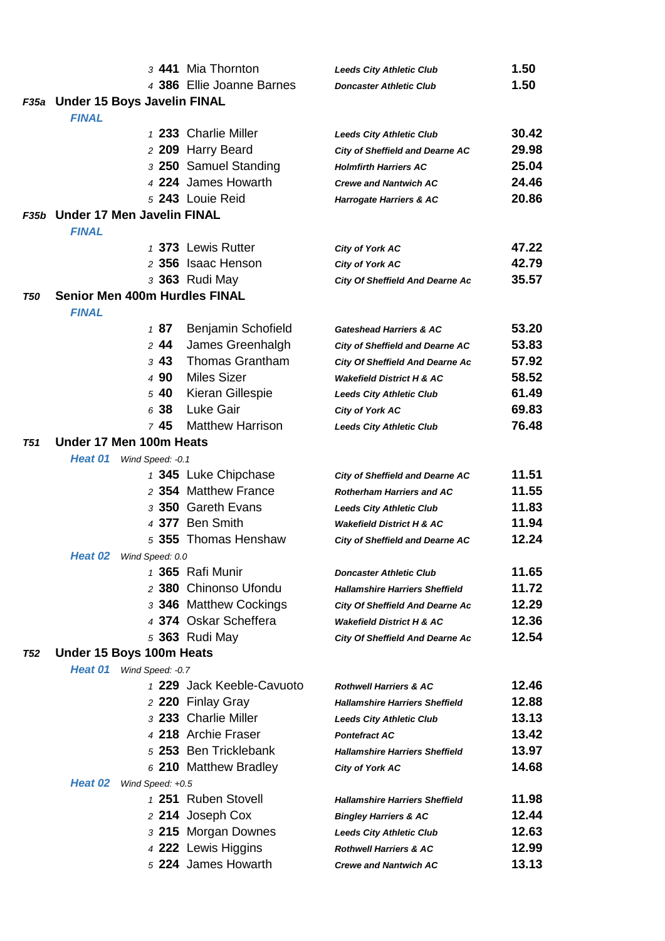|            |                                      |                   | 3 441 Mia Thornton                         | <b>Leeds City Athletic Club</b>        | 1.50           |
|------------|--------------------------------------|-------------------|--------------------------------------------|----------------------------------------|----------------|
|            |                                      |                   | 4 386 Ellie Joanne Barnes                  | <b>Doncaster Athletic Club</b>         | 1.50           |
|            | F35a Under 15 Boys Javelin FINAL     |                   |                                            |                                        |                |
|            | <b>FINAL</b>                         |                   |                                            |                                        |                |
|            |                                      |                   | 1 233 Charlie Miller                       | <b>Leeds City Athletic Club</b>        | 30.42          |
|            |                                      |                   | 2 209 Harry Beard                          | <b>City of Sheffield and Dearne AC</b> | 29.98          |
|            |                                      |                   | 3 250 Samuel Standing                      | <b>Holmfirth Harriers AC</b>           | 25.04          |
|            |                                      |                   | 4 224 James Howarth                        | <b>Crewe and Nantwich AC</b>           | 24.46          |
|            |                                      |                   | 5 243 Louie Reid                           | <b>Harrogate Harriers &amp; AC</b>     | 20.86          |
|            | F35b Under 17 Men Javelin FINAL      |                   |                                            |                                        |                |
|            | <b>FINAL</b>                         |                   |                                            |                                        |                |
|            |                                      |                   | 1 373 Lewis Rutter                         | <b>City of York AC</b>                 | 47.22          |
|            |                                      |                   | 2 356 Isaac Henson                         | City of York AC                        | 42.79          |
|            |                                      |                   | 3 363 Rudi May                             | <b>City Of Sheffield And Dearne Ac</b> | 35.57          |
| T50        | <b>Senior Men 400m Hurdles FINAL</b> |                   |                                            |                                        |                |
|            | <b>FINAL</b>                         |                   |                                            |                                        |                |
|            |                                      | 187               | Benjamin Schofield                         | <b>Gateshead Harriers &amp; AC</b>     | 53.20          |
|            |                                      | 244<br>343        | James Greenhalgh<br><b>Thomas Grantham</b> | <b>City of Sheffield and Dearne AC</b> | 53.83<br>57.92 |
|            |                                      | 4 90              | <b>Miles Sizer</b>                         | <b>City Of Sheffield And Dearne Ac</b> | 58.52          |
|            |                                      | 540               | Kieran Gillespie                           | <b>Wakefield District H &amp; AC</b>   | 61.49          |
|            |                                      | 6 38              | Luke Gair                                  | <b>Leeds City Athletic Club</b>        | 69.83          |
|            |                                      | 745               | <b>Matthew Harrison</b>                    | City of York AC                        | 76.48          |
| T51        | Under 17 Men 100m Heats              |                   |                                            | <b>Leeds City Athletic Club</b>        |                |
|            | Heat 01                              | Wind Speed: - 0.1 |                                            |                                        |                |
|            |                                      |                   | 1 345 Luke Chipchase                       | <b>City of Sheffield and Dearne AC</b> | 11.51          |
|            |                                      |                   | 2 354 Matthew France                       | <b>Rotherham Harriers and AC</b>       | 11.55          |
|            |                                      |                   | 3 350 Gareth Evans                         | <b>Leeds City Athletic Club</b>        | 11.83          |
|            |                                      |                   | 4 377 Ben Smith                            | <b>Wakefield District H &amp; AC</b>   | 11.94          |
|            |                                      |                   | 5 355 Thomas Henshaw                       | <b>City of Sheffield and Dearne AC</b> | 12.24          |
|            | Heat 02                              | Wind Speed: 0.0   |                                            |                                        |                |
|            |                                      |                   | 1 365 Rafi Munir                           | <b>Doncaster Athletic Club</b>         | 11.65          |
|            |                                      |                   | 2 380 Chinonso Ufondu                      | <b>Hallamshire Harriers Sheffield</b>  | 11.72          |
|            |                                      |                   | 3 346 Matthew Cockings                     | <b>City Of Sheffield And Dearne Ac</b> | 12.29          |
|            |                                      |                   | 4 374 Oskar Scheffera                      | <b>Wakefield District H &amp; AC</b>   | 12.36          |
|            |                                      |                   | 5 363 Rudi May                             | <b>City Of Sheffield And Dearne Ac</b> | 12.54          |
| <b>T52</b> | Under 15 Boys 100m Heats             |                   |                                            |                                        |                |
|            | <b>Heat 01</b>                       | Wind Speed: -0.7  |                                            |                                        |                |
|            |                                      |                   | 1 229 Jack Keeble-Cavuoto                  | <b>Rothwell Harriers &amp; AC</b>      | 12.46          |
|            |                                      |                   | 2 220 Finlay Gray                          | <b>Hallamshire Harriers Sheffield</b>  | 12.88          |
|            |                                      |                   | 3 233 Charlie Miller                       | <b>Leeds City Athletic Club</b>        | 13.13          |
|            |                                      |                   | 4 218 Archie Fraser                        | <b>Pontefract AC</b>                   | 13.42          |
|            |                                      |                   | 5 253 Ben Tricklebank                      | <b>Hallamshire Harriers Sheffield</b>  | 13.97          |
|            |                                      |                   | 6 210 Matthew Bradley                      | <b>City of York AC</b>                 | 14.68          |
|            | Heat 02                              | Wind Speed: +0.5  |                                            |                                        |                |
|            |                                      |                   | 1 251 Ruben Stovell                        | <b>Hallamshire Harriers Sheffield</b>  | 11.98          |
|            |                                      |                   | 2 214 Joseph Cox                           | <b>Bingley Harriers &amp; AC</b>       | 12.44          |
|            |                                      |                   | 3 215 Morgan Downes                        | <b>Leeds City Athletic Club</b>        | 12.63          |
|            |                                      |                   | 4 222 Lewis Higgins                        | <b>Rothwell Harriers &amp; AC</b>      | 12.99          |
|            |                                      |                   | 5 224 James Howarth                        | <b>Crewe and Nantwich AC</b>           | 13.13          |
|            |                                      |                   |                                            |                                        |                |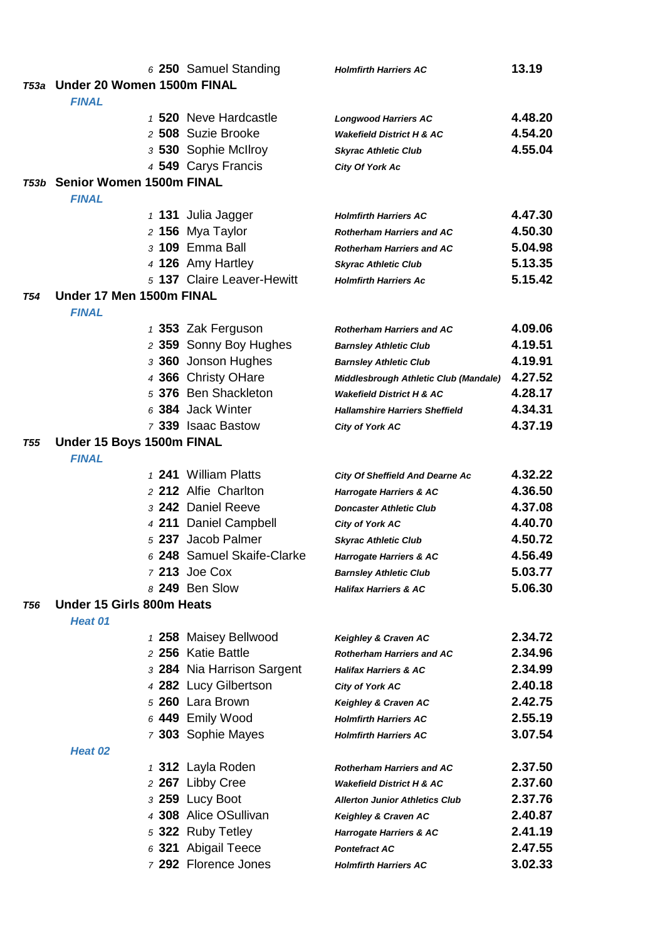|            |                                      | 6 250 Samuel Standing      | <b>Holmfirth Harriers AC</b>                             | 13.19   |
|------------|--------------------------------------|----------------------------|----------------------------------------------------------|---------|
|            | T53a Under 20 Women 1500m FINAL      |                            |                                                          |         |
|            | <b>FINAL</b>                         |                            |                                                          |         |
|            |                                      | 1 520 Neve Hardcastle      | <b>Longwood Harriers AC</b>                              | 4.48.20 |
|            |                                      | 2 508 Suzie Brooke         | <b>Wakefield District H &amp; AC</b>                     | 4.54.20 |
|            |                                      | 3 530 Sophie McIlroy       | <b>Skyrac Athletic Club</b>                              | 4.55.04 |
|            |                                      | 4 549 Carys Francis        | City Of York Ac                                          |         |
|            | <b>753b Senior Women 1500m FINAL</b> |                            |                                                          |         |
|            | <b>FINAL</b>                         |                            |                                                          |         |
|            |                                      | $1$ 131 Julia Jagger       | <b>Holmfirth Harriers AC</b>                             | 4.47.30 |
|            |                                      | 2 156 Mya Taylor           | <b>Rotherham Harriers and AC</b>                         | 4.50.30 |
|            |                                      | 3 109 Emma Ball            | <b>Rotherham Harriers and AC</b>                         | 5.04.98 |
|            |                                      | 4 126 Amy Hartley          | <b>Skyrac Athletic Club</b>                              | 5.13.35 |
|            |                                      | 5 137 Claire Leaver-Hewitt | <b>Holmfirth Harriers Ac</b>                             | 5.15.42 |
| T54        | Under 17 Men 1500m FINAL             |                            |                                                          |         |
|            | <b>FINAL</b>                         |                            |                                                          |         |
|            |                                      | 1 353 Zak Ferguson         | <b>Rotherham Harriers and AC</b>                         | 4.09.06 |
|            |                                      | 2 359 Sonny Boy Hughes     | <b>Barnsley Athletic Club</b>                            | 4.19.51 |
|            |                                      | 3 360 Jonson Hughes        | <b>Barnsley Athletic Club</b>                            | 4.19.91 |
|            |                                      | 4 366 Christy OHare        | Middlesbrough Athletic Club (Mandale)                    | 4.27.52 |
|            |                                      | 5 376 Ben Shackleton       | <b>Wakefield District H &amp; AC</b>                     | 4.28.17 |
|            |                                      | 6 384 Jack Winter          | <b>Hallamshire Harriers Sheffield</b>                    | 4.34.31 |
|            |                                      | 7 339 Isaac Bastow         | <b>City of York AC</b>                                   | 4.37.19 |
| <b>T55</b> | Under 15 Boys 1500m FINAL            |                            |                                                          |         |
|            | <b>FINAL</b>                         |                            |                                                          |         |
|            |                                      | 1 241 William Platts       | <b>City Of Sheffield And Dearne Ac</b>                   | 4.32.22 |
|            |                                      | 2 212 Alfie Charlton       | <b>Harrogate Harriers &amp; AC</b>                       | 4.36.50 |
|            |                                      | 3 242 Daniel Reeve         | <b>Doncaster Athletic Club</b>                           | 4.37.08 |
|            |                                      | 4 211 Daniel Campbell      | <b>City of York AC</b>                                   | 4.40.70 |
|            |                                      | 5 237 Jacob Palmer         | <b>Skyrac Athletic Club</b>                              | 4.50.72 |
|            |                                      | 6 248 Samuel Skaife-Clarke | <b>Harrogate Harriers &amp; AC</b>                       | 4.56.49 |
|            |                                      | 7 213 Joe Cox              | <b>Barnsley Athletic Club</b>                            | 5.03.77 |
|            |                                      | 8 249 Ben Slow             | <b>Halifax Harriers &amp; AC</b>                         | 5.06.30 |
| T56        | Under 15 Girls 800m Heats            |                            |                                                          |         |
|            | Heat 01                              | 1 258 Maisey Bellwood      |                                                          | 2.34.72 |
|            |                                      | 2 256 Katie Battle         | Keighley & Craven AC<br><b>Rotherham Harriers and AC</b> | 2.34.96 |
|            |                                      | 3 284 Nia Harrison Sargent | <b>Halifax Harriers &amp; AC</b>                         | 2.34.99 |
|            |                                      | 4 282 Lucy Gilbertson      |                                                          | 2.40.18 |
|            |                                      | 5 260 Lara Brown           | <b>City of York AC</b>                                   | 2.42.75 |
|            |                                      | 6 449 Emily Wood           | Keighley & Craven AC<br><b>Holmfirth Harriers AC</b>     | 2.55.19 |
|            |                                      | 7 303 Sophie Mayes         | <b>Holmfirth Harriers AC</b>                             | 3.07.54 |
|            | Heat 02                              |                            |                                                          |         |
|            |                                      | 1 312 Layla Roden          | <b>Rotherham Harriers and AC</b>                         | 2.37.50 |
|            |                                      | 2 267 Libby Cree           | <b>Wakefield District H &amp; AC</b>                     | 2.37.60 |
|            |                                      | 3 259 Lucy Boot            | <b>Allerton Junior Athletics Club</b>                    | 2.37.76 |
|            |                                      | 4 308 Alice OSullivan      | Keighley & Craven AC                                     | 2.40.87 |
|            |                                      | 5 322 Ruby Tetley          | <b>Harrogate Harriers &amp; AC</b>                       | 2.41.19 |
|            |                                      | 6 321 Abigail Teece        | <b>Pontefract AC</b>                                     | 2.47.55 |
|            |                                      | 7 292 Florence Jones       | <b>Holmfirth Harriers AC</b>                             | 3.02.33 |
|            |                                      |                            |                                                          |         |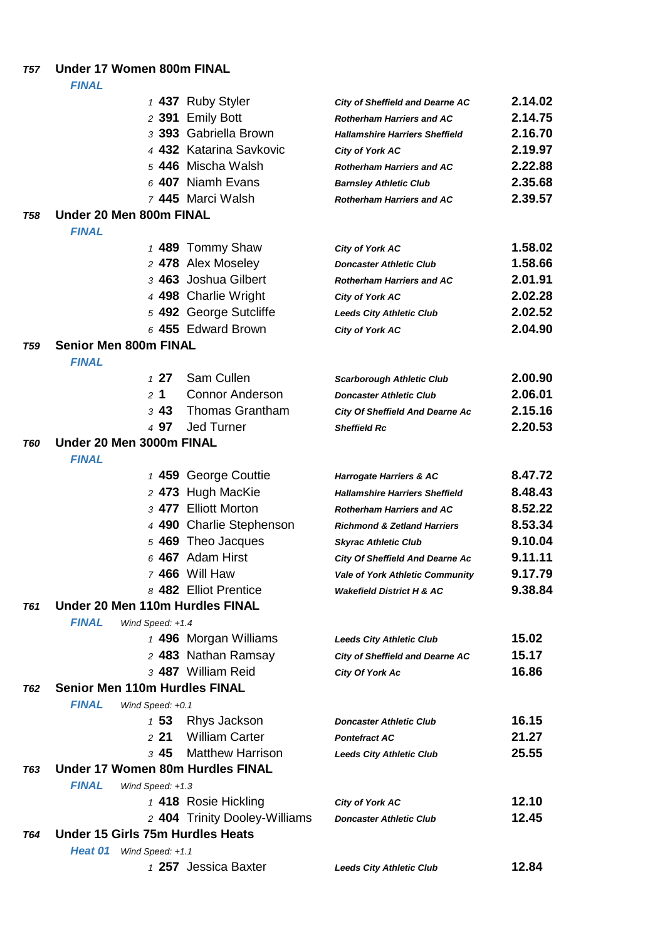### *T57* **Under 17 Women 800m FINAL**

|            |                                      |                  | 1 437 Ruby Styler                | <b>City of Sheffield and Dearne AC</b> | 2.14.02 |
|------------|--------------------------------------|------------------|----------------------------------|----------------------------------------|---------|
|            |                                      |                  | 2 391 Emily Bott                 | <b>Rotherham Harriers and AC</b>       | 2.14.75 |
|            |                                      |                  | 3 393 Gabriella Brown            | <b>Hallamshire Harriers Sheffield</b>  | 2.16.70 |
|            |                                      |                  | 4 432 Katarina Savkovic          | <b>City of York AC</b>                 | 2.19.97 |
|            |                                      |                  | 5 446 Mischa Walsh               | <b>Rotherham Harriers and AC</b>       | 2.22.88 |
|            |                                      |                  | $6$ 407 Niamh Evans              | <b>Barnsley Athletic Club</b>          | 2.35.68 |
|            |                                      |                  | 7 445 Marci Walsh                | <b>Rotherham Harriers and AC</b>       | 2.39.57 |
| T58        | Under 20 Men 800m FINAL              |                  |                                  |                                        |         |
|            | <b>FINAL</b>                         |                  |                                  |                                        |         |
|            |                                      |                  | 1 489 Tommy Shaw                 | <b>City of York AC</b>                 | 1.58.02 |
|            |                                      |                  | 2 478 Alex Moseley               | <b>Doncaster Athletic Club</b>         | 1.58.66 |
|            |                                      |                  | 3 463 Joshua Gilbert             | <b>Rotherham Harriers and AC</b>       | 2.01.91 |
|            |                                      |                  | 4 498 Charlie Wright             | <b>City of York AC</b>                 | 2.02.28 |
|            |                                      |                  | 5 492 George Sutcliffe           | <b>Leeds City Athletic Club</b>        | 2.02.52 |
|            |                                      |                  | 6 455 Edward Brown               | <b>City of York AC</b>                 | 2.04.90 |
| T59        | <b>Senior Men 800m FINAL</b>         |                  |                                  |                                        |         |
|            | <b>FINAL</b>                         |                  |                                  |                                        |         |
|            |                                      | 127              | Sam Cullen                       | <b>Scarborough Athletic Club</b>       | 2.00.90 |
|            |                                      | 2 <sub>1</sub>   | <b>Connor Anderson</b>           | <b>Doncaster Athletic Club</b>         | 2.06.01 |
|            |                                      | 343              | <b>Thomas Grantham</b>           | <b>City Of Sheffield And Dearne Ac</b> | 2.15.16 |
|            |                                      | 4 97             | <b>Jed Turner</b>                | <b>Sheffield Rc</b>                    | 2.20.53 |
| T60        | Under 20 Men 3000m FINAL             |                  |                                  |                                        |         |
|            | <b>FINAL</b>                         |                  |                                  |                                        |         |
|            |                                      |                  | 1 459 George Couttie             | <b>Harrogate Harriers &amp; AC</b>     | 8.47.72 |
|            |                                      |                  | 2 473 Hugh MacKie                | <b>Hallamshire Harriers Sheffield</b>  | 8.48.43 |
|            |                                      |                  | 3 477 Elliott Morton             | <b>Rotherham Harriers and AC</b>       | 8.52.22 |
|            |                                      |                  | 4 490 Charlie Stephenson         | <b>Richmond &amp; Zetland Harriers</b> | 8.53.34 |
|            |                                      |                  | 5 469 Theo Jacques               | <b>Skyrac Athletic Club</b>            | 9.10.04 |
|            |                                      |                  | $6$ 467 Adam Hirst               | <b>City Of Sheffield And Dearne Ac</b> | 9.11.11 |
|            |                                      |                  | 7 466 Will Haw                   | <b>Vale of York Athletic Community</b> | 9.17.79 |
|            |                                      |                  | 8 482 Elliot Prentice            | <b>Wakefield District H &amp; AC</b>   | 9.38.84 |
| <b>T61</b> | Under 20 Men 110m Hurdles FINAL      |                  |                                  |                                        |         |
|            | <b>FINAL</b>                         | Wind Speed: +1.4 |                                  |                                        |         |
|            |                                      |                  | 1 496 Morgan Williams            | <b>Leeds City Athletic Club</b>        | 15.02   |
|            |                                      |                  | 2 483 Nathan Ramsay              | <b>City of Sheffield and Dearne AC</b> | 15.17   |
|            |                                      |                  | 3 487 William Reid               | <b>City Of York Ac</b>                 | 16.86   |
| <b>T62</b> | <b>Senior Men 110m Hurdles FINAL</b> |                  |                                  |                                        |         |
|            | <b>FINAL</b>                         | Wind Speed: +0.1 |                                  |                                        |         |
|            |                                      | $1\,53$          | Rhys Jackson                     | <b>Doncaster Athletic Club</b>         | 16.15   |
|            |                                      | 221              | <b>William Carter</b>            | <b>Pontefract AC</b>                   | 21.27   |
|            |                                      | $3\,45$          | <b>Matthew Harrison</b>          | <b>Leeds City Athletic Club</b>        | 25.55   |
| <b>T63</b> |                                      |                  | Under 17 Women 80m Hurdles FINAL |                                        |         |
|            | <b>FINAL</b>                         | Wind Speed: +1.3 |                                  |                                        |         |
|            |                                      |                  | 1 418 Rosie Hickling             | City of York AC                        | 12.10   |
|            |                                      |                  | 2 404 Trinity Dooley-Williams    | <b>Doncaster Athletic Club</b>         | 12.45   |
| T64        | Under 15 Girls 75m Hurdles Heats     |                  |                                  |                                        |         |
|            | Heat 01                              | Wind Speed: +1.1 |                                  |                                        |         |
|            |                                      |                  | 1 257 Jessica Baxter             | <b>Leeds City Athletic Club</b>        | 12.84   |
|            |                                      |                  |                                  |                                        |         |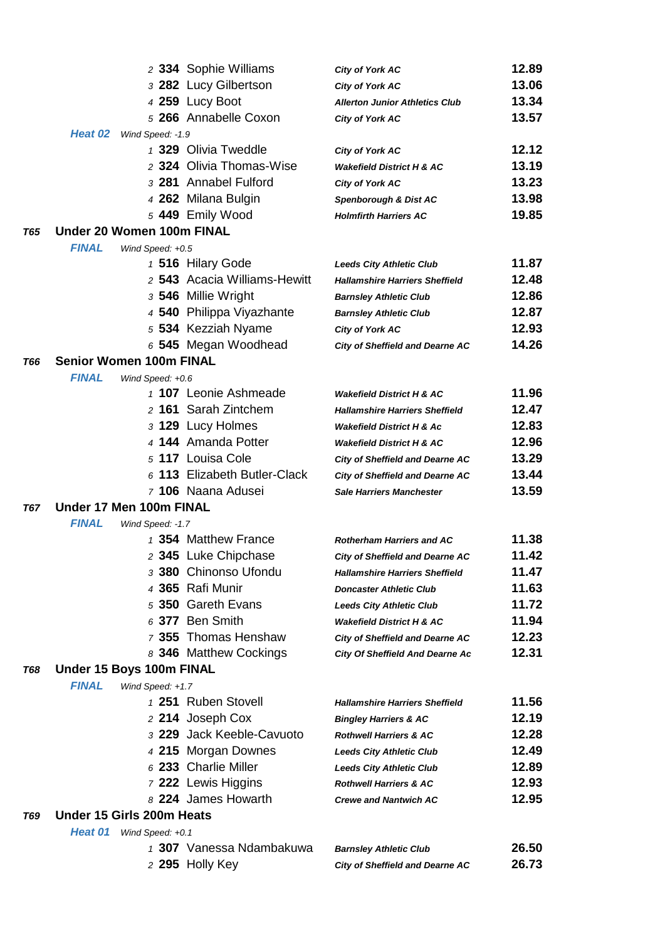|     |                                |                  | 2 334 Sophie Williams        | <b>City of York AC</b>                 | 12.89 |
|-----|--------------------------------|------------------|------------------------------|----------------------------------------|-------|
|     |                                |                  | 3 282 Lucy Gilbertson        | <b>City of York AC</b>                 | 13.06 |
|     |                                |                  | 4 259 Lucy Boot              | <b>Allerton Junior Athletics Club</b>  | 13.34 |
|     |                                |                  | 5 266 Annabelle Coxon        | <b>City of York AC</b>                 | 13.57 |
|     | Heat 02                        | Wind Speed: -1.9 |                              |                                        |       |
|     |                                |                  | 1 329 Olivia Tweddle         | <b>City of York AC</b>                 | 12.12 |
|     |                                |                  | 2 324 Olivia Thomas-Wise     | <b>Wakefield District H &amp; AC</b>   | 13.19 |
|     |                                |                  | 3 281 Annabel Fulford        | <b>City of York AC</b>                 | 13.23 |
|     |                                |                  | 4 262 Milana Bulgin          | Spenborough & Dist AC                  | 13.98 |
|     |                                |                  | 5 449 Emily Wood             | <b>Holmfirth Harriers AC</b>           | 19.85 |
| T65 | Under 20 Women 100m FINAL      |                  |                              |                                        |       |
|     | <b>FINAL</b>                   | Wind Speed: +0.5 |                              |                                        |       |
|     |                                |                  | 1 516 Hilary Gode            | <b>Leeds City Athletic Club</b>        | 11.87 |
|     |                                |                  | 2 543 Acacia Williams-Hewitt | <b>Hallamshire Harriers Sheffield</b>  | 12.48 |
|     |                                |                  | 3 546 Millie Wright          | <b>Barnsley Athletic Club</b>          | 12.86 |
|     |                                |                  | 4 540 Philippa Viyazhante    | <b>Barnsley Athletic Club</b>          | 12.87 |
|     |                                |                  | 5 534 Kezziah Nyame          | <b>City of York AC</b>                 | 12.93 |
|     |                                |                  | 6 545 Megan Woodhead         | <b>City of Sheffield and Dearne AC</b> | 14.26 |
| T66 | <b>Senior Women 100m FINAL</b> |                  |                              |                                        |       |
|     | <b>FINAL</b>                   | Wind Speed: +0.6 |                              |                                        |       |
|     |                                |                  | 1 107 Leonie Ashmeade        | <b>Wakefield District H &amp; AC</b>   | 11.96 |
|     |                                |                  | 2 161 Sarah Zintchem         | <b>Hallamshire Harriers Sheffield</b>  | 12.47 |
|     |                                |                  | 3 129 Lucy Holmes            | <b>Wakefield District H &amp; Ac</b>   | 12.83 |
|     |                                |                  | 4 144 Amanda Potter          | <b>Wakefield District H &amp; AC</b>   | 12.96 |
|     |                                |                  | 5 117 Louisa Cole            | <b>City of Sheffield and Dearne AC</b> | 13.29 |
|     |                                |                  | 6 113 Elizabeth Butler-Clack | <b>City of Sheffield and Dearne AC</b> | 13.44 |
|     |                                |                  | 7 106 Naana Adusei           | <b>Sale Harriers Manchester</b>        | 13.59 |
| T67 | Under 17 Men 100m FINAL        |                  |                              |                                        |       |
|     | <b>FINAL</b>                   | Wind Speed: -1.7 |                              |                                        |       |
|     |                                |                  | 1 354 Matthew France         | <b>Rotherham Harriers and AC</b>       | 11.38 |
|     |                                |                  | 2 345 Luke Chipchase         | <b>City of Sheffield and Dearne AC</b> | 11.42 |
|     |                                |                  | 3 380 Chinonso Ufondu        | <b>Hallamshire Harriers Sheffield</b>  | 11.47 |
|     |                                |                  | 4 365 Rafi Munir             | <b>Doncaster Athletic Club</b>         | 11.63 |
|     |                                |                  | 5 350 Gareth Evans           | <b>Leeds City Athletic Club</b>        | 11.72 |
|     |                                |                  | 6 377 Ben Smith              | <b>Wakefield District H &amp; AC</b>   | 11.94 |
|     |                                |                  | 7 355 Thomas Henshaw         | City of Sheffield and Dearne AC        | 12.23 |
|     |                                |                  | 8 346 Matthew Cockings       | <b>City Of Sheffield And Dearne Ac</b> | 12.31 |
| T68 | Under 15 Boys 100m FINAL       |                  |                              |                                        |       |
|     | <b>FINAL</b>                   | Wind Speed: +1.7 |                              |                                        |       |
|     |                                |                  | 1 251 Ruben Stovell          | <b>Hallamshire Harriers Sheffield</b>  | 11.56 |
|     |                                |                  | 2 214 Joseph Cox             | <b>Bingley Harriers &amp; AC</b>       | 12.19 |
|     |                                |                  | 3 229 Jack Keeble-Cavuoto    | <b>Rothwell Harriers &amp; AC</b>      | 12.28 |
|     |                                |                  | 4 215 Morgan Downes          | <b>Leeds City Athletic Club</b>        | 12.49 |
|     |                                |                  | 6 233 Charlie Miller         | <b>Leeds City Athletic Club</b>        | 12.89 |
|     |                                |                  | 7 222 Lewis Higgins          | <b>Rothwell Harriers &amp; AC</b>      | 12.93 |
|     | Under 15 Girls 200m Heats      |                  | 8 224 James Howarth          | <b>Crewe and Nantwich AC</b>           | 12.95 |
| T69 |                                |                  |                              |                                        |       |
|     | Heat 01                        | Wind Speed: +0.1 | 1 307 Vanessa Ndambakuwa     |                                        |       |
|     |                                |                  |                              | <b>Barnsley Athletic Club</b>          | 26.50 |
|     |                                |                  | 2 295 Holly Key              | <b>City of Sheffield and Dearne AC</b> | 26.73 |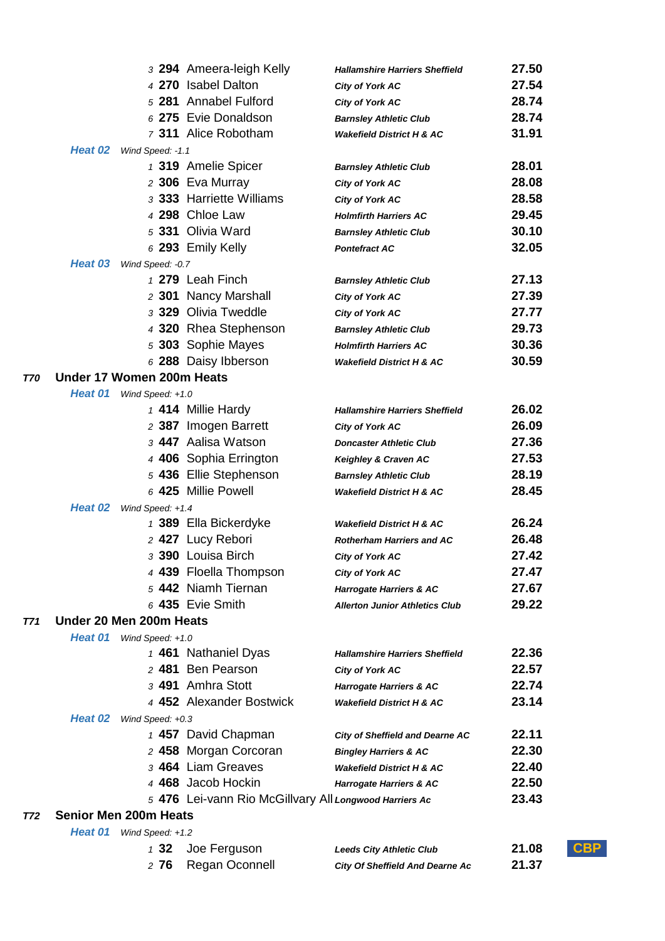|         | 3 294 Ameera-leigh Kelly                               | <b>Hallamshire Harriers Sheffield</b>  | 27.50                |
|---------|--------------------------------------------------------|----------------------------------------|----------------------|
|         | 4 270 Isabel Dalton                                    | City of York AC                        | 27.54                |
|         | 5 281 Annabel Fulford                                  | City of York AC                        | 28.74                |
|         | 6 275 Evie Donaldson                                   | <b>Barnsley Athletic Club</b>          | 28.74                |
|         | 7 311 Alice Robotham                                   | <b>Wakefield District H &amp; AC</b>   | 31.91                |
| Heat 02 | Wind Speed: -1.1                                       |                                        |                      |
|         | 1 319 Amelie Spicer                                    | <b>Barnsley Athletic Club</b>          | 28.01                |
|         | 2 306 Eva Murray                                       | <b>City of York AC</b>                 | 28.08                |
|         | 3 333 Harriette Williams                               | <b>City of York AC</b>                 | 28.58                |
|         | 4 298 Chloe Law                                        | <b>Holmfirth Harriers AC</b>           | 29.45                |
|         | 5 331 Olivia Ward                                      | <b>Barnsley Athletic Club</b>          | 30.10                |
|         | 6 293 Emily Kelly                                      | <b>Pontefract AC</b>                   | 32.05                |
| Heat 03 | Wind Speed: -0.7                                       |                                        |                      |
|         | 1 279 Leah Finch                                       | <b>Barnsley Athletic Club</b>          | 27.13                |
|         | 2 301 Nancy Marshall                                   | City of York AC                        | 27.39                |
|         | 3 329 Olivia Tweddle                                   | <b>City of York AC</b>                 | 27.77                |
|         | 4 320 Rhea Stephenson                                  | <b>Barnsley Athletic Club</b>          | 29.73                |
|         | 5 303 Sophie Mayes                                     | <b>Holmfirth Harriers AC</b>           | 30.36                |
|         | 6 288 Daisy Ibberson                                   | <b>Wakefield District H &amp; AC</b>   | 30.59                |
|         | Under 17 Women 200m Heats                              |                                        |                      |
|         | Heat 01 Wind Speed: +1.0                               |                                        |                      |
|         | 1 414 Millie Hardy                                     | <b>Hallamshire Harriers Sheffield</b>  | 26.02                |
|         | 2 387 Imogen Barrett                                   | <b>City of York AC</b>                 | 26.09                |
|         | 3 447 Aalisa Watson                                    | <b>Doncaster Athletic Club</b>         | 27.36                |
|         | 4 406 Sophia Errington                                 | Keighley & Craven AC                   | 27.53                |
|         | 5 436 Ellie Stephenson                                 | <b>Barnsley Athletic Club</b>          | 28.19                |
|         | 6 425 Millie Powell                                    | <b>Wakefield District H &amp; AC</b>   | 28.45                |
| Heat 02 | Wind Speed: +1.4                                       |                                        |                      |
|         | 1 389 Ella Bickerdyke                                  | <b>Wakefield District H &amp; AC</b>   | 26.24                |
|         | 2 427 Lucy Rebori                                      | <b>Rotherham Harriers and AC</b>       | 26.48                |
|         | 3 390 Louisa Birch                                     | <b>City of York AC</b>                 | 27.42                |
|         | 4 439 Floella Thompson                                 | <b>City of York AC</b>                 | 27.47                |
|         | 5 442 Niamh Tiernan                                    | <b>Harrogate Harriers &amp; AC</b>     | 27.67                |
|         | $6$ 435 Evie Smith                                     | <b>Allerton Junior Athletics Club</b>  | 29.22                |
|         | Under 20 Men 200m Heats                                |                                        |                      |
|         | Heat 01 Wind Speed: +1.0                               |                                        |                      |
|         | 1 461 Nathaniel Dyas                                   | <b>Hallamshire Harriers Sheffield</b>  | 22.36                |
|         | 2 481 Ben Pearson                                      | <b>City of York AC</b>                 | 22.57                |
|         | 3 491 Amhra Stott                                      | <b>Harrogate Harriers &amp; AC</b>     | 22.74                |
|         | 4 452 Alexander Bostwick                               | <b>Wakefield District H &amp; AC</b>   | 23.14                |
| Heat 02 | Wind Speed: +0.3                                       |                                        |                      |
|         | 1 457 David Chapman                                    | <b>City of Sheffield and Dearne AC</b> | 22.11                |
|         | 2 458 Morgan Corcoran                                  | <b>Bingley Harriers &amp; AC</b>       | 22.30                |
|         | 3 464 Liam Greaves                                     | <b>Wakefield District H &amp; AC</b>   | 22.40                |
|         | 4 468 Jacob Hockin                                     | <b>Harrogate Harriers &amp; AC</b>     | 22.50                |
|         | 5 476 Lei-vann Rio McGillvary All Longwood Harriers Ac |                                        | 23.43                |
|         | <b>Senior Men 200m Heats</b>                           |                                        |                      |
| Heat 01 | Wind Speed: +1.2                                       |                                        |                      |
|         | Joe Ferguson<br>132                                    | <b>Leeds City Athletic Club</b>        | ${\sf CBP}$<br>21.08 |

*T70* **Under 17 Women 200m Heats**

*T71* **Under 20 Men 200m Heats**

*T72* **Senior Men 200m Heats**

| 2 76 Regan Oconnell | <b>City Of Sheffield And Dearne Ac</b> | 21.37 |
|---------------------|----------------------------------------|-------|
|                     |                                        |       |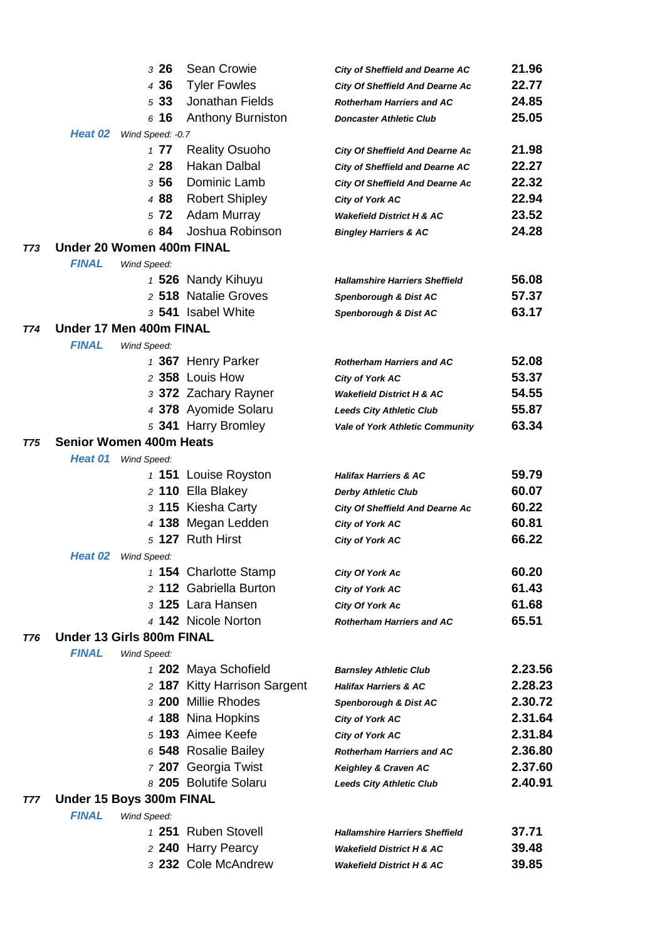|            |                          | 326                            | Sean Crowie                  | <b>City of Sheffield and Dearne AC</b> | 21.96   |
|------------|--------------------------|--------------------------------|------------------------------|----------------------------------------|---------|
|            |                          | 4 36                           | <b>Tyler Fowles</b>          | <b>City Of Sheffield And Dearne Ac</b> | 22.77   |
|            |                          | 533                            | Jonathan Fields              | <b>Rotherham Harriers and AC</b>       | 24.85   |
|            |                          | 616                            | <b>Anthony Burniston</b>     | <b>Doncaster Athletic Club</b>         | 25.05   |
|            | Heat 02                  | Wind Speed: - 0.7              |                              |                                        |         |
|            |                          | 177                            | <b>Reality Osuoho</b>        | <b>City Of Sheffield And Dearne Ac</b> | 21.98   |
|            |                          | 228                            | Hakan Dalbal                 | <b>City of Sheffield and Dearne AC</b> | 22.27   |
|            |                          | 3 56                           | Dominic Lamb                 | <b>City Of Sheffield And Dearne Ac</b> | 22.32   |
|            |                          | 4 88                           | <b>Robert Shipley</b>        | City of York AC                        | 22.94   |
|            |                          | 572                            | <b>Adam Murray</b>           | <b>Wakefield District H &amp; AC</b>   | 23.52   |
|            |                          | 6 84                           | Joshua Robinson              | <b>Bingley Harriers &amp; AC</b>       | 24.28   |
| <b>T73</b> |                          | Under 20 Women 400m FINAL      |                              |                                        |         |
|            | <b>FINAL</b>             | Wind Speed:                    |                              |                                        |         |
|            |                          |                                | 1 526 Nandy Kihuyu           | <b>Hallamshire Harriers Sheffield</b>  | 56.08   |
|            |                          |                                | 2 518 Natalie Groves         | Spenborough & Dist AC                  | 57.37   |
|            |                          |                                | 3 541 Isabel White           | Spenborough & Dist AC                  | 63.17   |
| T74        |                          | Under 17 Men 400m FINAL        |                              |                                        |         |
|            | <b>FINAL</b>             | Wind Speed:                    |                              |                                        |         |
|            |                          |                                | 1 367 Henry Parker           | <b>Rotherham Harriers and AC</b>       | 52.08   |
|            |                          |                                | 2 358 Louis How              | <b>City of York AC</b>                 | 53.37   |
|            |                          |                                | 3 372 Zachary Rayner         | <b>Wakefield District H &amp; AC</b>   | 54.55   |
|            |                          |                                | 4 378 Ayomide Solaru         | <b>Leeds City Athletic Club</b>        | 55.87   |
|            |                          |                                | 5 341 Harry Bromley          | Vale of York Athletic Community        | 63.34   |
| T75        |                          | <b>Senior Women 400m Heats</b> |                              |                                        |         |
|            | Heat 01                  | Wind Speed:                    |                              |                                        |         |
|            |                          |                                | 1 151 Louise Royston         | <b>Halifax Harriers &amp; AC</b>       | 59.79   |
|            |                          |                                | 2 110 Ella Blakey            | <b>Derby Athletic Club</b>             | 60.07   |
|            |                          |                                | 3 115 Kiesha Carty           | <b>City Of Sheffield And Dearne Ac</b> | 60.22   |
|            |                          |                                | 4 138 Megan Ledden           | <b>City of York AC</b>                 | 60.81   |
|            |                          |                                | 5 127 Ruth Hirst             | City of York AC                        | 66.22   |
|            | Heat 02                  | Wind Speed:                    |                              |                                        |         |
|            |                          |                                | 1 154 Charlotte Stamp        | <b>City Of York Ac</b>                 | 60.20   |
|            |                          |                                | 2 112 Gabriella Burton       | City of York AC                        | 61.43   |
|            |                          |                                | 3 125 Lara Hansen            | City Of York Ac                        | 61.68   |
|            |                          |                                | 4 142 Nicole Norton          | <b>Rotherham Harriers and AC</b>       | 65.51   |
| T76        |                          | Under 13 Girls 800m FINAL      |                              |                                        |         |
|            | <b>FINAL</b>             | Wind Speed:                    |                              |                                        |         |
|            |                          |                                | 1 202 Maya Schofield         | <b>Barnsley Athletic Club</b>          | 2.23.56 |
|            |                          |                                | 2 187 Kitty Harrison Sargent | <b>Halifax Harriers &amp; AC</b>       | 2.28.23 |
|            |                          |                                | 3 200 Millie Rhodes          | Spenborough & Dist AC                  | 2.30.72 |
|            |                          |                                | 4 188 Nina Hopkins           | City of York AC                        | 2.31.64 |
|            |                          |                                | 5 193 Aimee Keefe            | <b>City of York AC</b>                 | 2.31.84 |
|            |                          |                                | 6 548 Rosalie Bailey         | <b>Rotherham Harriers and AC</b>       | 2.36.80 |
|            |                          |                                | 7 207 Georgia Twist          | Keighley & Craven AC                   | 2.37.60 |
|            |                          |                                | 8 205 Bolutife Solaru        | <b>Leeds City Athletic Club</b>        | 2.40.91 |
| T77        | Under 15 Boys 300m FINAL |                                |                              |                                        |         |
|            | <b>FINAL</b>             | Wind Speed:                    |                              |                                        |         |
|            |                          |                                | 1 251 Ruben Stovell          | <b>Hallamshire Harriers Sheffield</b>  | 37.71   |
|            |                          |                                | 2 240 Harry Pearcy           | <b>Wakefield District H &amp; AC</b>   | 39.48   |
|            |                          |                                | 3 232 Cole McAndrew          | Wakefield District H & AC              | 39.85   |
|            |                          |                                |                              |                                        |         |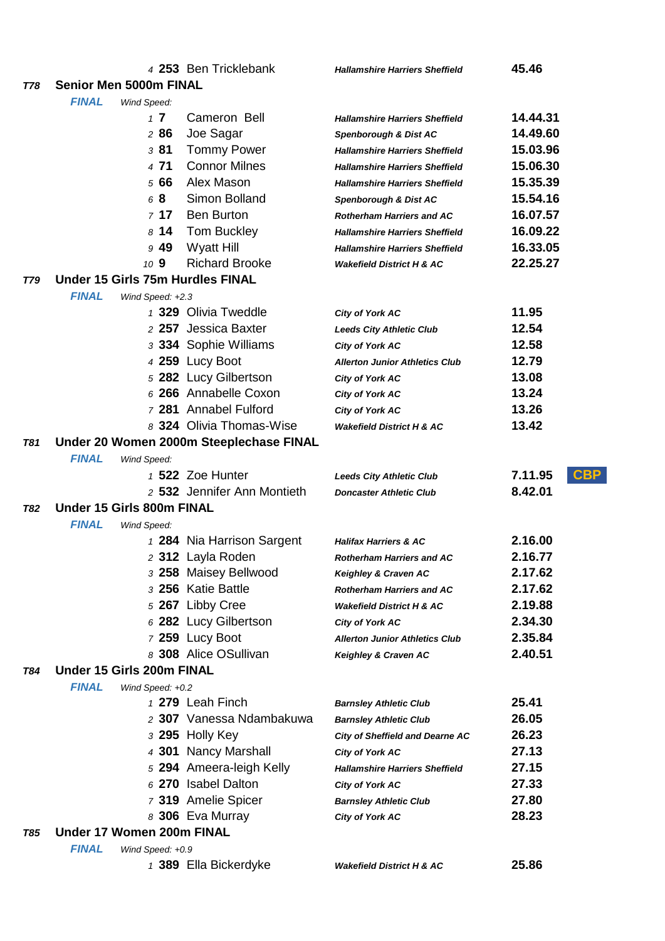|            |                                                               |                  | 4 253 Ben Tricklebank                           | <b>Hallamshire Harriers Sheffield</b>  | 45.46                 |
|------------|---------------------------------------------------------------|------------------|-------------------------------------------------|----------------------------------------|-----------------------|
| T78        | Senior Men 5000m FINAL                                        |                  |                                                 |                                        |                       |
|            | <b>FINAL</b><br>Wind Speed:                                   |                  |                                                 |                                        |                       |
|            |                                                               | $1\,7$           | Cameron Bell                                    | <b>Hallamshire Harriers Sheffield</b>  | 14.44.31              |
|            |                                                               | 286              | Joe Sagar                                       | Spenborough & Dist AC                  | 14.49.60              |
|            |                                                               | 381              | <b>Tommy Power</b>                              | <b>Hallamshire Harriers Sheffield</b>  | 15.03.96              |
|            |                                                               | 4 71             | <b>Connor Milnes</b>                            | <b>Hallamshire Harriers Sheffield</b>  | 15.06.30              |
|            |                                                               | 5 66             | Alex Mason                                      | <b>Hallamshire Harriers Sheffield</b>  | 15.35.39              |
|            |                                                               | 68               | Simon Bolland                                   | Spenborough & Dist AC                  | 15.54.16              |
|            |                                                               | 717              | <b>Ben Burton</b>                               | <b>Rotherham Harriers and AC</b>       | 16.07.57              |
|            |                                                               | 814              | Tom Buckley                                     | <b>Hallamshire Harriers Sheffield</b>  | 16.09.22              |
|            |                                                               | 949              | <b>Wyatt Hill</b>                               | <b>Hallamshire Harriers Sheffield</b>  | 16.33.05              |
|            |                                                               | 10 9             | <b>Richard Brooke</b>                           | <b>Wakefield District H &amp; AC</b>   | 22.25.27              |
| T79        | Under 15 Girls 75m Hurdles FINAL                              |                  |                                                 |                                        |                       |
|            | <b>FINAL</b>                                                  | Wind Speed: +2.3 |                                                 |                                        |                       |
|            |                                                               |                  | 1 329 Olivia Tweddle                            | City of York AC                        | 11.95                 |
|            |                                                               |                  | 2 257 Jessica Baxter                            | <b>Leeds City Athletic Club</b>        | 12.54                 |
|            |                                                               |                  | 3 334 Sophie Williams                           | City of York AC                        | 12.58                 |
|            |                                                               |                  | 4 259 Lucy Boot                                 | <b>Allerton Junior Athletics Club</b>  | 12.79                 |
|            |                                                               |                  | 5 282 Lucy Gilbertson                           | <b>City of York AC</b>                 | 13.08                 |
|            |                                                               |                  | 6 266 Annabelle Coxon                           | <b>City of York AC</b>                 | 13.24                 |
|            |                                                               |                  | 7 281 Annabel Fulford                           | City of York AC                        | 13.26                 |
|            |                                                               |                  | 8 324 Olivia Thomas-Wise                        | <b>Wakefield District H &amp; AC</b>   | 13.42                 |
| <b>T81</b> |                                                               |                  | Under 20 Women 2000m Steeplechase FINAL         |                                        |                       |
|            | <b>FINAL</b>                                                  | Wind Speed:      |                                                 |                                        |                       |
|            |                                                               |                  | 1 522 Zoe Hunter                                | <b>Leeds City Athletic Club</b>        | <b>CBP</b><br>7.11.95 |
|            |                                                               |                  | 2 532 Jennifer Ann Montieth                     | <b>Doncaster Athletic Club</b>         | 8.42.01               |
| T82        | Under 15 Girls 800m FINAL                                     |                  |                                                 |                                        |                       |
|            | <b>FINAL</b>                                                  | Wind Speed:      |                                                 |                                        |                       |
|            |                                                               |                  | 1 284 Nia Harrison Sargent                      | <b>Halifax Harriers &amp; AC</b>       | 2.16.00               |
|            |                                                               |                  | 2 312 Layla Roden                               | <b>Rotherham Harriers and AC</b>       | 2.16.77               |
|            |                                                               |                  | 3 258 Maisey Bellwood                           | Keighley & Craven AC                   | 2.17.62               |
|            |                                                               |                  | 3 256 Katie Battle                              | <b>Rotherham Harriers and AC</b>       | 2.17.62               |
|            |                                                               |                  | 5 267 Libby Cree                                | <b>Wakefield District H &amp; AC</b>   | 2.19.88               |
|            |                                                               |                  | 6 282 Lucy Gilbertson                           | City of York AC                        | 2.34.30               |
|            |                                                               |                  | 7 259 Lucy Boot                                 | <b>Allerton Junior Athletics Club</b>  | 2.35.84               |
|            |                                                               |                  | 8 308 Alice OSullivan                           | Keighley & Craven AC                   | 2.40.51               |
| <b>T84</b> | Under 15 Girls 200m FINAL                                     |                  |                                                 |                                        |                       |
|            | <b>FINAL</b>                                                  | Wind Speed: +0.2 |                                                 |                                        |                       |
|            |                                                               |                  | 1 279 Leah Finch                                | <b>Barnsley Athletic Club</b>          | 25.41                 |
|            |                                                               |                  | 2 307 Vanessa Ndambakuwa                        | <b>Barnsley Athletic Club</b>          | 26.05<br>26.23        |
|            |                                                               |                  | 3 295 Holly Key                                 | <b>City of Sheffield and Dearne AC</b> | 27.13                 |
|            |                                                               |                  | 4 301 Nancy Marshall                            | City of York AC                        | 27.15                 |
|            |                                                               |                  | 5 294 Ameera-leigh Kelly<br>6 270 Isabel Dalton | <b>Hallamshire Harriers Sheffield</b>  | 27.33                 |
|            |                                                               |                  |                                                 | City of York AC                        |                       |
|            |                                                               |                  | 7 319 Amelie Spicer<br>8 306 Eva Murray         | <b>Barnsley Athletic Club</b>          | 27.80<br>28.23        |
| <b>T85</b> |                                                               |                  |                                                 | <b>City of York AC</b>                 |                       |
|            | Under 17 Women 200m FINAL<br><b>FINAL</b><br>Wind Speed: +0.9 |                  |                                                 |                                        |                       |
|            |                                                               |                  | 1 389 Ella Bickerdyke                           | <b>Wakefield District H &amp; AC</b>   | 25.86                 |
|            |                                                               |                  |                                                 |                                        |                       |